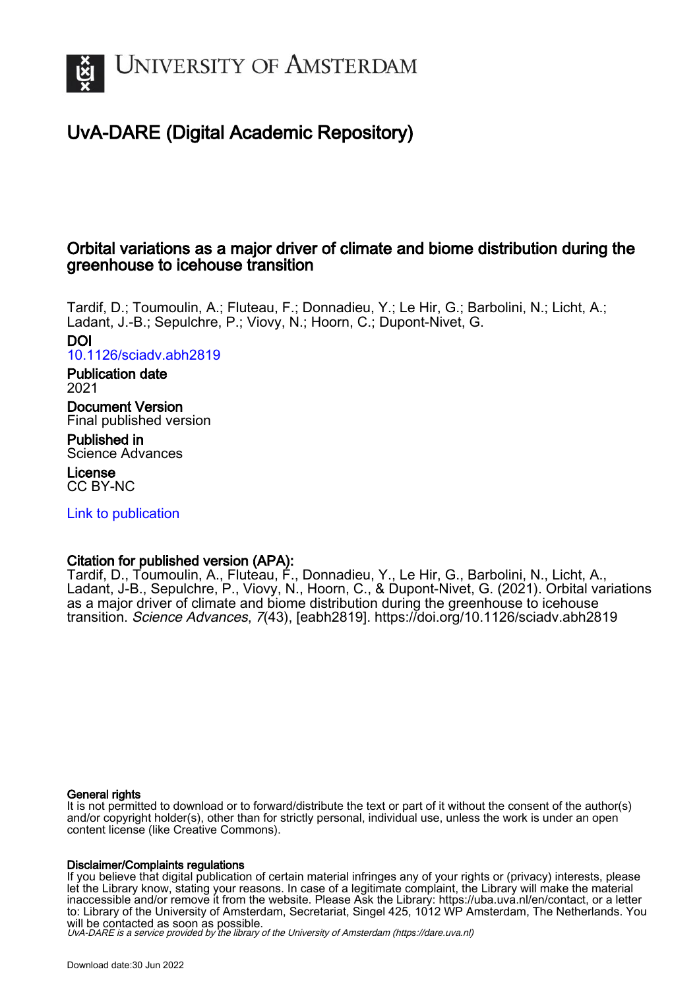

# UvA-DARE (Digital Academic Repository)

# Orbital variations as a major driver of climate and biome distribution during the greenhouse to icehouse transition

Tardif, D.; Toumoulin, A.; Fluteau, F.; Donnadieu, Y.; Le Hir, G.; Barbolini, N.; Licht, A.; Ladant, J.-B.; Sepulchre, P.; Viovy, N.; Hoorn, C.; Dupont-Nivet, G. DOI

[10.1126/sciadv.abh2819](https://doi.org/10.1126/sciadv.abh2819)

Publication date 2021

Document Version Final published version

Published in Science Advances

License CC BY-NC

[Link to publication](https://dare.uva.nl/personal/pure/en/publications/orbital-variations-as-a-major-driver-of-climate-and-biome-distribution-during-the-greenhouse-to-icehouse-transition(ad33a4de-4139-4705-9388-eac85349ac80).html)

# Citation for published version (APA):

Tardif, D., Toumoulin, A., Fluteau, F., Donnadieu, Y., Le Hir, G., Barbolini, N., Licht, A., Ladant, J-B., Sepulchre, P., Viovy, N., Hoorn, C., & Dupont-Nivet, G. (2021). Orbital variations as a major driver of climate and biome distribution during the greenhouse to icehouse transition. Science Advances, 7(43), [eabh2819]. <https://doi.org/10.1126/sciadv.abh2819>

#### General rights

It is not permitted to download or to forward/distribute the text or part of it without the consent of the author(s) and/or copyright holder(s), other than for strictly personal, individual use, unless the work is under an open content license (like Creative Commons).

#### Disclaimer/Complaints regulations

If you believe that digital publication of certain material infringes any of your rights or (privacy) interests, please let the Library know, stating your reasons. In case of a legitimate complaint, the Library will make the material inaccessible and/or remove it from the website. Please Ask the Library: https://uba.uva.nl/en/contact, or a letter to: Library of the University of Amsterdam, Secretariat, Singel 425, 1012 WP Amsterdam, The Netherlands. You will be contacted as soon as possible.

UvA-DARE is a service provided by the library of the University of Amsterdam (http*s*://dare.uva.nl)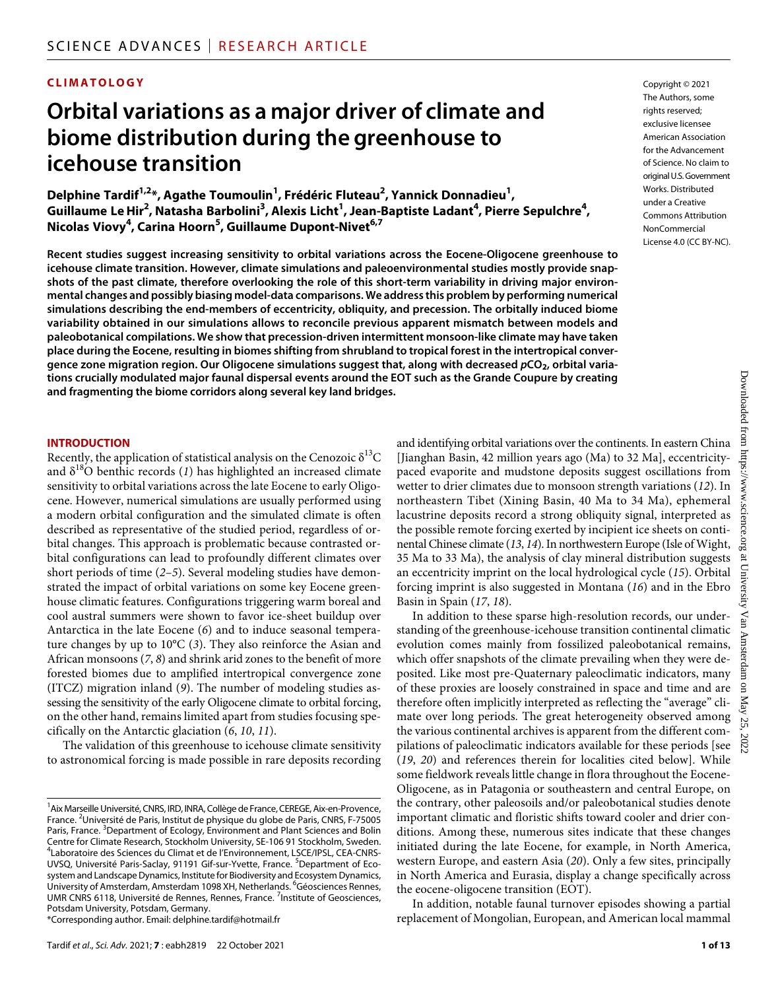### **CLIMATOLOGY**

# **Orbital variations as a major driver of climate and biome distribution during the greenhouse to icehouse transition**

**Delphine Tardif1,2 \*, Agathe Toumoulin1 , Frédéric Fluteau2 , Yannick Donnadieu1 , Guillaume LeHir2 , Natasha Barbolini3 , Alexis Licht1 , Jean-Baptiste Ladant4 , Pierre Sepulchre4 , Nicolas Viovy4 , Carina Hoorn5 , Guillaume Dupont-Nivet6,7**

**Recent studies suggest increasing sensitivity to orbital variations across the Eocene-Oligocene greenhouse to icehouse climate transition. However, climate simulations and paleoenvironmental studies mostly provide snapshots of the past climate, therefore overlooking the role of this short-term variability in driving major environmental changes and possibly biasing model-data comparisons. We address this problem by performing numerical simulations describing the end-members of eccentricity, obliquity, and precession. The orbitally induced biome variability obtained in our simulations allows to reconcile previous apparent mismatch between models and paleobotanical compilations. We show that precession-driven intermittent monsoon-like climate may have taken place during the Eocene, resulting in biomes shifting from shrubland to tropical forest in the intertropical convergence zone migration region. Our Oligocene simulations suggest that, along with decreased** *p***CO2, orbital variations crucially modulated major faunal dispersal events around the EOT such as the Grande Coupure by creating and fragmenting the biome corridors along several key land bridges.**

#### **INTRODUCTION**

Recently, the application of statistical analysis on the Cenozoic  $\delta^{13}C$ and  $\delta^{18}$ O benthic records (1) has highlighted an increased climate sensitivity to orbital variations across the late Eocene to early Oligocene. However, numerical simulations are usually performed using a modern orbital configuration and the simulated climate is often described as representative of the studied period, regardless of orbital changes. This approach is problematic because contrasted orbital configurations can lead to profoundly different climates over short periods of time (*2*–*5*). Several modeling studies have demonstrated the impact of orbital variations on some key Eocene greenhouse climatic features. Configurations triggering warm boreal and cool austral summers were shown to favor ice-sheet buildup over Antarctica in the late Eocene (*6*) and to induce seasonal temperature changes by up to 10°C (*3*). They also reinforce the Asian and African monsoons (*7*, *8*) and shrink arid zones to the benefit of more forested biomes due to amplified intertropical convergence zone (ITCZ) migration inland (*9*). The number of modeling studies assessing the sensitivity of the early Oligocene climate to orbital forcing, on the other hand, remains limited apart from studies focusing specifically on the Antarctic glaciation (*6*, *10*, *11*).

The validation of this greenhouse to icehouse climate sensitivity to astronomical forcing is made possible in rare deposits recording

\*Corresponding author. Email: [delphine.tardif@hotmail.fr](mailto:delphine.tardif@hotmail.fr)

and identifying orbital variations over the continents. In eastern China [Jianghan Basin, 42 million years ago (Ma) to 32 Ma], eccentricitypaced evaporite and mudstone deposits suggest oscillations from wetter to drier climates due to monsoon strength variations (*12*). In northeastern Tibet (Xining Basin, 40 Ma to 34 Ma), ephemeral lacustrine deposits record a strong obliquity signal, interpreted as the possible remote forcing exerted by incipient ice sheets on continental Chinese climate (*13*, *14*). In northwestern Europe (Isle of Wight, 35 Ma to 33 Ma), the analysis of clay mineral distribution suggests an eccentricity imprint on the local hydrological cycle (*15*). Orbital forcing imprint is also suggested in Montana (*16*) and in the Ebro Basin in Spain (*17*, *18*).

In addition to these sparse high-resolution records, our understanding of the greenhouse-icehouse transition continental climatic evolution comes mainly from fossilized paleobotanical remains, which offer snapshots of the climate prevailing when they were deposited. Like most pre-Quaternary paleoclimatic indicators, many of these proxies are loosely constrained in space and time and are therefore often implicitly interpreted as reflecting the "average" climate over long periods. The great heterogeneity observed among the various continental archives is apparent from the different compilations of paleoclimatic indicators available for these periods [see (*19*, *20*) and references therein for localities cited below]. While some fieldwork reveals little change in flora throughout the Eocene-Oligocene, as in Patagonia or southeastern and central Europe, on the contrary, other paleosoils and/or paleobotanical studies denote important climatic and floristic shifts toward cooler and drier conditions. Among these, numerous sites indicate that these changes initiated during the late Eocene, for example, in North America, western Europe, and eastern Asia (*20*). Only a few sites, principally in North America and Eurasia, display a change specifically across the eocene-oligocene transition (EOT).

In addition, notable faunal turnover episodes showing a partial replacement of Mongolian, European, and American local mammal

Copyright © 2021 The Authors, some rights reserved: exclusive licensee American Association for the Advancement of Science. No claim to original U.S.Government Works. Distributed under a Creative Commons Attribution **NonCommercial** License 4.0 (CC BY-NC).

<sup>&</sup>lt;sup>1</sup> Aix Marseille Université, CNRS, IRD, INRA, Collège de France, CEREGE, Aix-en-Provence, France. <sup>2</sup>Université de Paris, Institut de physique du globe de Paris, CNRS, F-75005 Paris, France. <sup>3</sup>Department of Ecology, Environment and Plant Sciences and Bolin Centre for Climate Research, Stockholm University, SE-106 91 Stockholm, Sweden. 4 Laboratoire des Sciences du Climat et de l'Environnement, LSCE/IPSL, CEA-CNRS-UVSQ, Université Paris-Saclay, 91191 Gif-sur-Yvette, France. <sup>5</sup>Department of Ecosystem and Landscape Dynamics, Institute for Biodiversity and Ecosystem Dynamics, University of Amsterdam, Amsterdam 1098 XH, Netherlands. <sup>6</sup>Géosciences Rennes, UMR CNRS 6118, Université de Rennes, Rennes, France.<sup>7</sup> Institute of Geosciences, Potsdam University, Potsdam, Germany.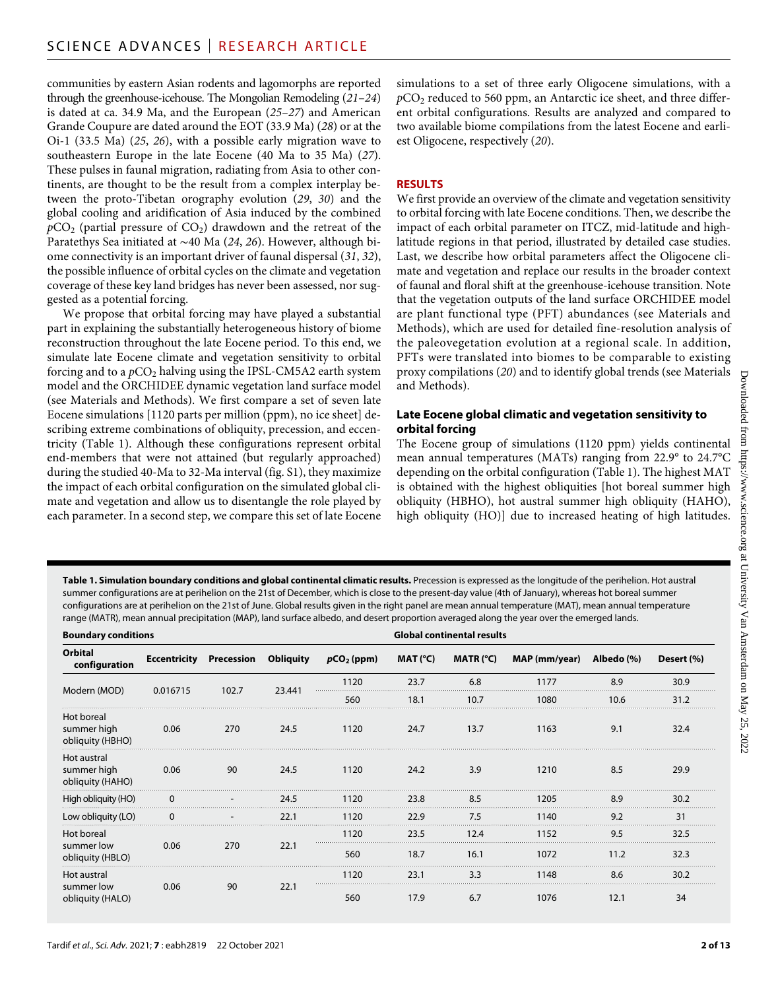communities by eastern Asian rodents and lagomorphs are reported through the greenhouse-icehouse. The Mongolian Remodeling (*21*–*24*) is dated at ca. 34.9 Ma, and the European (*25*–*27*) and American Grande Coupure are dated around the EOT (33.9 Ma) (*28*) or at the Oi-1 (33.5 Ma) (*25*, *26*), with a possible early migration wave to southeastern Europe in the late Eocene (40 Ma to 35 Ma) (*27*). These pulses in faunal migration, radiating from Asia to other continents, are thought to be the result from a complex interplay between the proto-Tibetan orography evolution (*29*, *30*) and the global cooling and aridification of Asia induced by the combined  $pCO<sub>2</sub>$  (partial pressure of  $CO<sub>2</sub>$ ) drawdown and the retreat of the Paratethys Sea initiated at ∼40 Ma (*24*, *26*). However, although biome connectivity is an important driver of faunal dispersal (*31*, *32*), the possible influence of orbital cycles on the climate and vegetation coverage of these key land bridges has never been assessed, nor suggested as a potential forcing.

We propose that orbital forcing may have played a substantial part in explaining the substantially heterogeneous history of biome reconstruction throughout the late Eocene period. To this end, we simulate late Eocene climate and vegetation sensitivity to orbital forcing and to a  $pCO<sub>2</sub>$  halving using the IPSL-CM5A2 earth system model and the ORCHIDEE dynamic vegetation land surface model (see Materials and Methods). We first compare a set of seven late Eocene simulations [1120 parts per million (ppm), no ice sheet] describing extreme combinations of obliquity, precession, and eccentricity (Table 1). Although these configurations represent orbital end-members that were not attained (but regularly approached) during the studied 40-Ma to 32-Ma interval (fig. S1), they maximize the impact of each orbital configuration on the simulated global climate and vegetation and allow us to disentangle the role played by each parameter. In a second step, we compare this set of late Eocene

simulations to a set of three early Oligocene simulations, with a *p*CO2 reduced to 560 ppm, an Antarctic ice sheet, and three different orbital configurations. Results are analyzed and compared to two available biome compilations from the latest Eocene and earliest Oligocene, respectively (*20*).

#### **RESULTS**

We first provide an overview of the climate and vegetation sensitivity to orbital forcing with late Eocene conditions. Then, we describe the impact of each orbital parameter on ITCZ, mid-latitude and highlatitude regions in that period, illustrated by detailed case studies. Last, we describe how orbital parameters affect the Oligocene climate and vegetation and replace our results in the broader context of faunal and floral shift at the greenhouse-icehouse transition. Note that the vegetation outputs of the land surface ORCHIDEE model are plant functional type (PFT) abundances (see Materials and Methods), which are used for detailed fine-resolution analysis of the paleovegetation evolution at a regional scale. In addition, PFTs were translated into biomes to be comparable to existing proxy compilations (*20*) and to identify global trends (see Materials and Methods).

#### **Late Eocene global climatic and vegetation sensitivity to orbital forcing**

The Eocene group of simulations (1120 ppm) yields continental mean annual temperatures (MATs) ranging from 22.9° to 24.7°C depending on the orbital configuration (Table 1). The highest MAT is obtained with the highest obliquities [hot boreal summer high obliquity (HBHO), hot austral summer high obliquity (HAHO), high obliquity (HO)] due to increased heating of high latitudes.

**Table 1. Simulation boundary conditions and global continental climatic results.** Precession is expressed as the longitude of the perihelion. Hot austral summer configurations are at perihelion on the 21st of December, which is close to the present-day value (4th of January), whereas hot boreal summer configurations are at perihelion on the 21st of June. Global results given in the right panel are mean annual temperature (MAT), mean annual temperature range (MATR), mean annual precipitation (MAP), land surface albedo, and desert proportion averaged along the year over the emerged lands.

| <b>Boundary conditions</b>                     |          |                                |                  | <b>Global continental results</b> |                     |             |               |            |            |
|------------------------------------------------|----------|--------------------------------|------------------|-----------------------------------|---------------------|-------------|---------------|------------|------------|
| Orbital<br>configuration                       |          | <b>Eccentricity Precession</b> | <b>Obliquity</b> | $pCO2$ (ppm)                      | MAT ( $^{\circ}$ C) | MATR $(°C)$ | MAP (mm/year) | Albedo (%) | Desert (%) |
| Modern (MOD)                                   | 0.016715 | 102.7                          | 23.441           | 1120                              | 23.7                | 6.8         | 1177          | 8.9        | 30.9       |
|                                                |          |                                |                  | 560                               | 18.1                | 10.7        | 1080          | 10.6       | 31.2       |
| Hot boreal<br>summer high<br>obliquity (HBHO)  | 0.06     | 270                            | 24.5             | 1120                              | 24.7                | 13.7        | 1163          | 9.1        | 32.4       |
| Hot austral<br>summer high<br>obliquity (HAHO) | 0.06     | 90                             | 24.5             | 1120                              | 24.2                | 3.9         | 1210          | 8.5        | 29.9       |
| High obliquity (HO)                            |          |                                | 24.5             | 1120                              | 23.8                | 8.5         | 1205          | 8.9        | 30.2       |
| Low obliquity (LO)                             |          |                                | 22.1             | 1120                              | 22.9                | 7.5         | 1140          | 9.2        | 31         |
| Hot boreal                                     | 0.06     | 270                            | 22.1             | 1120                              | 23.5                | 12.4        | 1152          | 9.5        | 32.5       |
| summer low<br>obliquity (HBLO)                 |          |                                |                  | 560                               | 18.7                | 16.1        | 1072          | 11.2       | 32.3       |
| Hot austral<br>summer low<br>obliquity (HALO)  | 0.06     | 90                             | 22.1             | 1120                              | 23.1                | 3.3         | 1148          | 8.6        | 30.2       |
|                                                |          |                                |                  | 560                               | 17.9                | 6.7         | 1076          | 12.1       | 34         |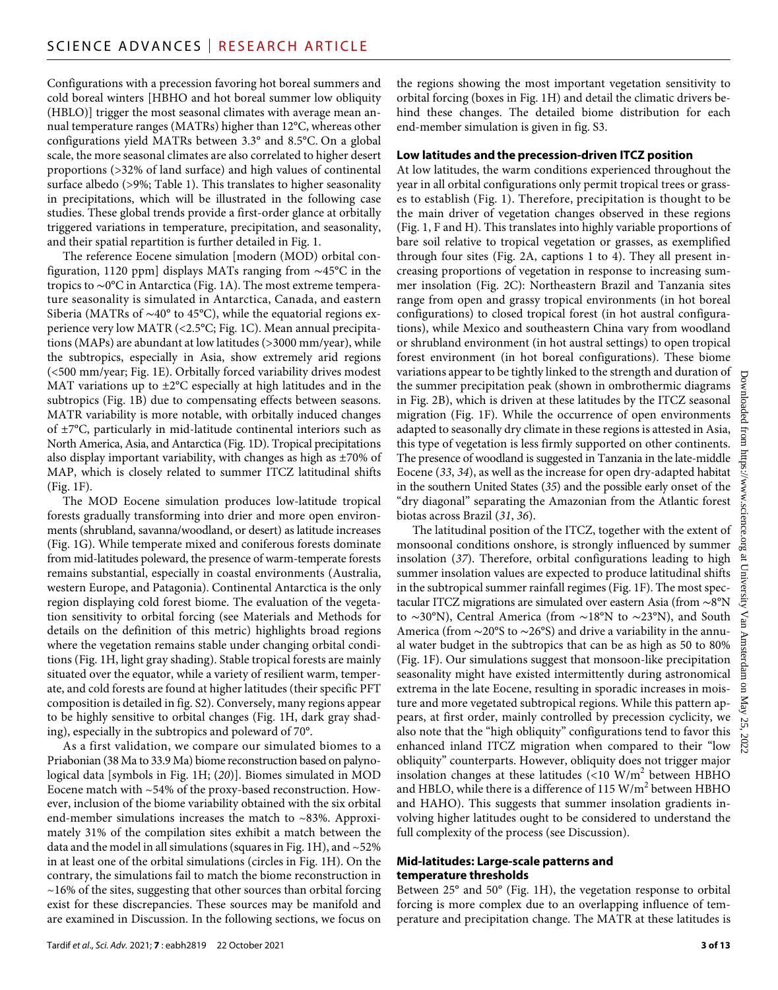Configurations with a precession favoring hot boreal summers and cold boreal winters [HBHO and hot boreal summer low obliquity (HBLO)] trigger the most seasonal climates with average mean annual temperature ranges (MATRs) higher than 12°C, whereas other configurations yield MATRs between 3.3° and 8.5°C. On a global scale, the more seasonal climates are also correlated to higher desert proportions (>32% of land surface) and high values of continental surface albedo (>9%; Table 1). This translates to higher seasonality in precipitations, which will be illustrated in the following case studies. These global trends provide a first-order glance at orbitally triggered variations in temperature, precipitation, and seasonality, and their spatial repartition is further detailed in Fig. 1.

The reference Eocene simulation [modern (MOD) orbital configuration, 1120 ppm] displays MATs ranging from ∼45°C in the tropics to ∼0°C in Antarctica (Fig. 1A). The most extreme temperature seasonality is simulated in Antarctica, Canada, and eastern Siberia (MATRs of ∼40° to 45°C), while the equatorial regions experience very low MATR (<2.5°C; Fig. 1C). Mean annual precipitations (MAPs) are abundant at low latitudes (>3000 mm/year), while the subtropics, especially in Asia, show extremely arid regions (<500 mm/year; Fig. 1E). Orbitally forced variability drives modest MAT variations up to  $\pm 2^{\circ}$ C especially at high latitudes and in the subtropics (Fig. 1B) due to compensating effects between seasons. MATR variability is more notable, with orbitally induced changes of ±7°C, particularly in mid-latitude continental interiors such as North America, Asia, and Antarctica (Fig. 1D). Tropical precipitations also display important variability, with changes as high as ±70% of MAP, which is closely related to summer ITCZ latitudinal shifts (Fig. 1F).

The MOD Eocene simulation produces low-latitude tropical forests gradually transforming into drier and more open environments (shrubland, savanna/woodland, or desert) as latitude increases (Fig. 1G). While temperate mixed and coniferous forests dominate from mid-latitudes poleward, the presence of warm-temperate forests remains substantial, especially in coastal environments (Australia, western Europe, and Patagonia). Continental Antarctica is the only region displaying cold forest biome. The evaluation of the vegetation sensitivity to orbital forcing (see Materials and Methods for details on the definition of this metric) highlights broad regions where the vegetation remains stable under changing orbital conditions (Fig. 1H, light gray shading). Stable tropical forests are mainly situated over the equator, while a variety of resilient warm, temperate, and cold forests are found at higher latitudes (their specific PFT composition is detailed in fig. S2). Conversely, many regions appear to be highly sensitive to orbital changes (Fig. 1H, dark gray shading), especially in the subtropics and poleward of 70°.

As a first validation, we compare our simulated biomes to a Priabonian (38 Ma to 33.9 Ma) biome reconstruction based on palynological data [symbols in Fig. 1H; (*20*)]. Biomes simulated in MOD Eocene match with ~54% of the proxy-based reconstruction. However, inclusion of the biome variability obtained with the six orbital end-member simulations increases the match to ~83%. Approximately 31% of the compilation sites exhibit a match between the data and the model in all simulations (squares in Fig. 1H), and  $\sim$  52% in at least one of the orbital simulations (circles in Fig. 1H). On the contrary, the simulations fail to match the biome reconstruction in  $\sim$ 16% of the sites, suggesting that other sources than orbital forcing exist for these discrepancies. These sources may be manifold and are examined in Discussion. In the following sections, we focus on

the regions showing the most important vegetation sensitivity to orbital forcing (boxes in Fig. 1H) and detail the climatic drivers behind these changes. The detailed biome distribution for each end-member simulation is given in fig. S3.

#### **Low latitudes and the precession-driven ITCZ position**

At low latitudes, the warm conditions experienced throughout the year in all orbital configurations only permit tropical trees or grasses to establish (Fig. 1). Therefore, precipitation is thought to be the main driver of vegetation changes observed in these regions (Fig. 1, F and H). This translates into highly variable proportions of bare soil relative to tropical vegetation or grasses, as exemplified through four sites (Fig. 2A, captions 1 to 4). They all present increasing proportions of vegetation in response to increasing summer insolation (Fig. 2C): Northeastern Brazil and Tanzania sites range from open and grassy tropical environments (in hot boreal configurations) to closed tropical forest (in hot austral configurations), while Mexico and southeastern China vary from woodland or shrubland environment (in hot austral settings) to open tropical forest environment (in hot boreal configurations). These biome variations appear to be tightly linked to the strength and duration of the summer precipitation peak (shown in ombrothermic diagrams in Fig. 2B), which is driven at these latitudes by the ITCZ seasonal migration (Fig. 1F). While the occurrence of open environments adapted to seasonally dry climate in these regions is attested in Asia, this type of vegetation is less firmly supported on other continents. The presence of woodland is suggested in Tanzania in the late-middle Eocene (*33*, *34*), as well as the increase for open dry-adapted habitat in the southern United States (*35*) and the possible early onset of the "dry diagonal" separating the Amazonian from the Atlantic forest biotas across Brazil (*31*, *36*).

The latitudinal position of the ITCZ, together with the extent of monsoonal conditions onshore, is strongly influenced by summer insolation (*37*). Therefore, orbital configurations leading to high summer insolation values are expected to produce latitudinal shifts in the subtropical summer rainfall regimes (Fig. 1F). The most spectacular ITCZ migrations are simulated over eastern Asia (from ∼8°N to ∼30°N), Central America (from ∼18°N to ∼23°N), and South America (from ∼20°S to ∼26°S) and drive a variability in the annual water budget in the subtropics that can be as high as 50 to 80% (Fig. 1F). Our simulations suggest that monsoon-like precipitation seasonality might have existed intermittently during astronomical extrema in the late Eocene, resulting in sporadic increases in moisture and more vegetated subtropical regions. While this pattern appears, at first order, mainly controlled by precession cyclicity, we also note that the "high obliquity" configurations tend to favor this enhanced inland ITCZ migration when compared to their "low obliquity" counterparts. However, obliquity does not trigger major insolation changes at these latitudes  $(<10 \text{ W/m}^2$  between HBHO and HBLO, while there is a difference of  $115 \text{ W/m}^2$  between HBHO and HAHO). This suggests that summer insolation gradients involving higher latitudes ought to be considered to understand the full complexity of the process (see Discussion).

#### **Mid-latitudes: Large-scale patterns and temperature thresholds**

Between 25° and 50° (Fig. 1H), the vegetation response to orbital forcing is more complex due to an overlapping influence of temperature and precipitation change. The MATR at these latitudes is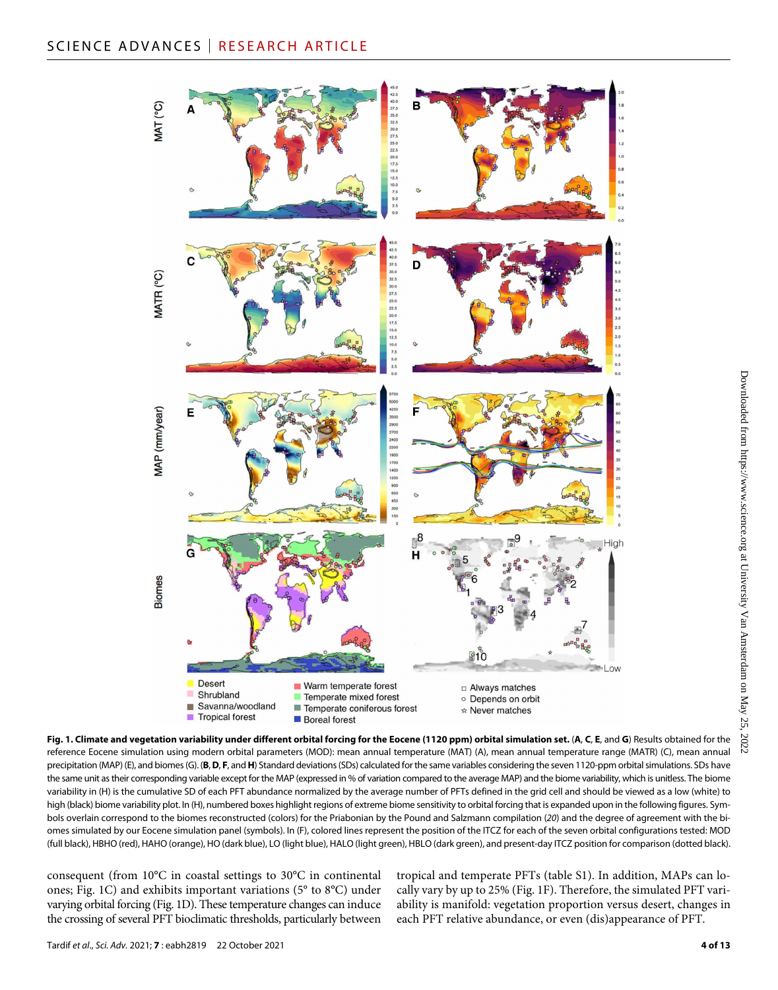

**Fig. 1. Climate and vegetation variability under different orbital forcing for the Eocene (1120 ppm) orbital simulation set.** (**A**, **C**, **E**, and **G**) Results obtained for the reference Eocene simulation using modern orbital parameters (MOD): mean annual temperature (MAT) (A), mean annual temperature range (MATR) (C), mean annual precipitation (MAP) (E), and biomes (G). (B, D, F, and H) Standard deviations (SDs) calculated for the same variables considering the seven 1120-ppm orbital simulations. SDs have the same unit as their corresponding variable except for the MAP (expressed in % of variation compared to the average MAP) and the biome variability, which is unitless. The biome variability in (H) is the cumulative SD of each PFT abundance normalized by the average number of PFTs defined in the grid cell and should be viewed as a low (white) to high (black) biome variability plot. In (H), numbered boxes highlight regions of extreme biome sensitivity to orbital forcing that is expanded upon in the following figures. Symbols overlain correspond to the biomes reconstructed (colors) for the Priabonian by the Pound and Salzmann compilation (*20*) and the degree of agreement with the biomes simulated by our Eocene simulation panel (symbols). In (F), colored lines represent the position of the ITCZ for each of the seven orbital configurations tested: MOD (full black), HBHO (red), HAHO (orange), HO (dark blue), LO (light blue), HALO (light green), HBLO (dark green), and present-day ITCZ position for comparison (dotted black).

consequent (from 10°C in coastal settings to 30°C in continental ones; Fig. 1C) and exhibits important variations (5° to 8°C) under varying orbital forcing (Fig. 1D). These temperature changes can induce the crossing of several PFT bioclimatic thresholds, particularly between

tropical and temperate PFTs (table S1). In addition, MAPs can locally vary by up to 25% (Fig. 1F). Therefore, the simulated PFT variability is manifold: vegetation proportion versus desert, changes in each PFT relative abundance, or even (dis)appearance of PFT.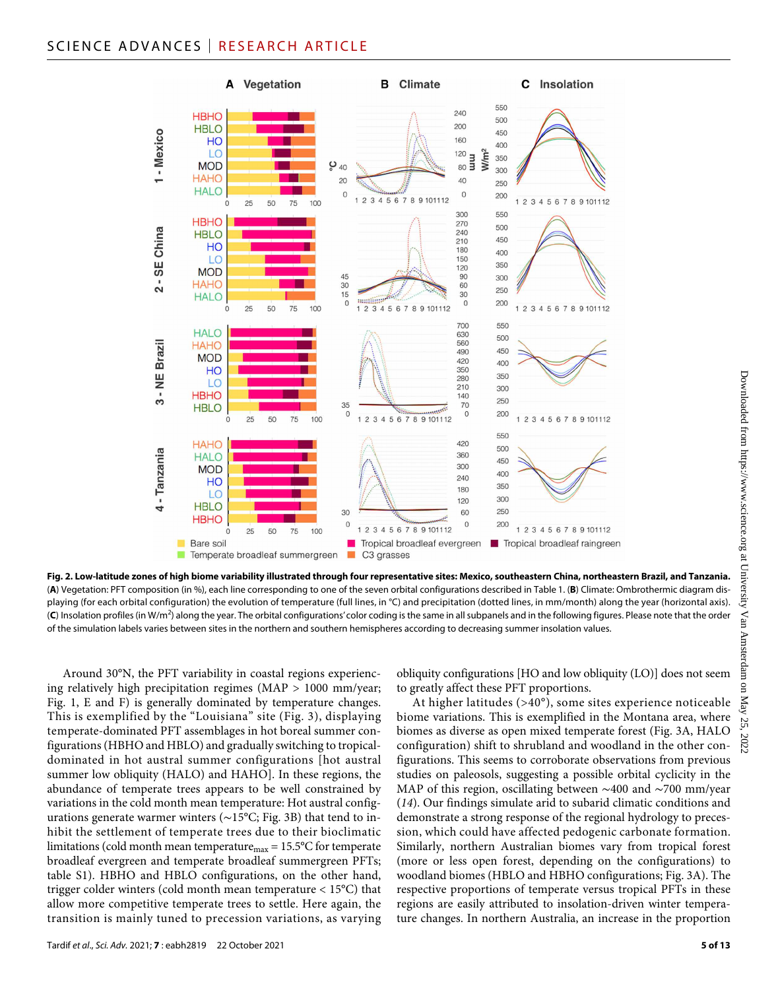# SCIENCE ADVANCES | RESEARCH ARTICLE



**Fig. 2. Low-latitude zones of high biome variability illustrated through four representative sites: Mexico, southeastern China, northeastern Brazil, and Tanzania.** (**A**) Vegetation: PFT composition (in %), each line corresponding to one of the seven orbital configurations described in Table 1. (**B**) Climate: Ombrothermic diagram displaying (for each orbital configuration) the evolution of temperature (full lines, in °C) and precipitation (dotted lines, in mm/month) along the year (horizontal axis). (**C**) Insolation profiles (in W/m<sup>2</sup> ) along the year. The orbital configurations' color coding is the same in all subpanels and in the following figures. Please note that the order of the simulation labels varies between sites in the northern and southern hemispheres according to decreasing summer insolation values.

Around 30°N, the PFT variability in coastal regions experiencing relatively high precipitation regimes (MAP > 1000 mm/year; Fig. 1, E and F) is generally dominated by temperature changes. This is exemplified by the "Louisiana" site (Fig. 3), displaying temperate-dominated PFT assemblages in hot boreal summer configurations (HBHO and HBLO) and gradually switching to tropicaldominated in hot austral summer configurations [hot austral summer low obliquity (HALO) and HAHO]. In these regions, the abundance of temperate trees appears to be well constrained by variations in the cold month mean temperature: Hot austral configurations generate warmer winters (∼15°C; Fig. 3B) that tend to inhibit the settlement of temperate trees due to their bioclimatic limitations (cold month mean temperature $_{\text{max}}$  = 15.5°C for temperate broadleaf evergreen and temperate broadleaf summergreen PFTs; table S1). HBHO and HBLO configurations, on the other hand, trigger colder winters (cold month mean temperature < 15°C) that allow more competitive temperate trees to settle. Here again, the transition is mainly tuned to precession variations, as varying obliquity configurations [HO and low obliquity (LO)] does not seem to greatly affect these PFT proportions.

At higher latitudes (>40°), some sites experience noticeable biome variations. This is exemplified in the Montana area, where biomes as diverse as open mixed temperate forest (Fig. 3A, HALO configuration) shift to shrubland and woodland in the other configurations. This seems to corroborate observations from previous studies on paleosols, suggesting a possible orbital cyclicity in the MAP of this region, oscillating between ∼400 and ∼700 mm/year (*14*). Our findings simulate arid to subarid climatic conditions and demonstrate a strong response of the regional hydrology to precession, which could have affected pedogenic carbonate formation. Similarly, northern Australian biomes vary from tropical forest (more or less open forest, depending on the configurations) to woodland biomes (HBLO and HBHO configurations; Fig. 3A). The respective proportions of temperate versus tropical PFTs in these regions are easily attributed to insolation-driven winter temperature changes. In northern Australia, an increase in the proportion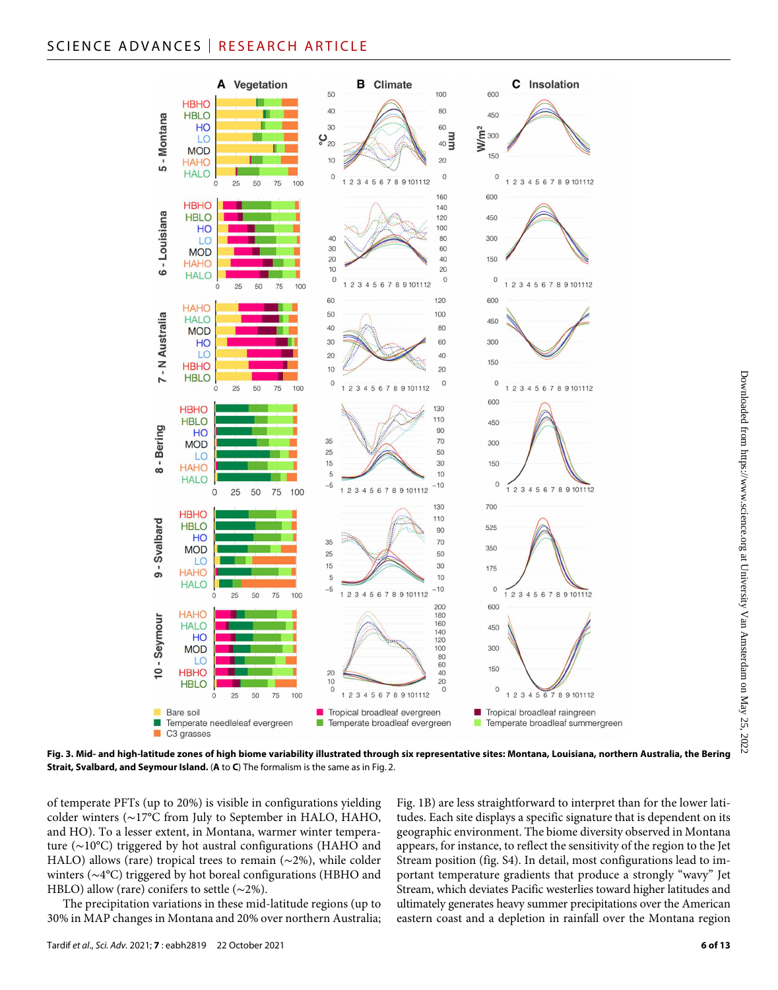# SCIENCE ADVANCES | RESEARCH ARTICLE



**Fig. 3. Mid- and high-latitude zones of high biome variability illustrated through six representative sites: Montana, Louisiana, northern Australia, the Bering Strait, Svalbard, and Seymour Island.** (**A** to **C**) The formalism is the same as in Fig. 2.

of temperate PFTs (up to 20%) is visible in configurations yielding colder winters (∼17°C from July to September in HALO, HAHO, and HO). To a lesser extent, in Montana, warmer winter temperature (∼10°C) triggered by hot austral configurations (HAHO and HALO) allows (rare) tropical trees to remain (∼2%), while colder winters (∼4°C) triggered by hot boreal configurations (HBHO and HBLO) allow (rare) conifers to settle (∼2%).

The precipitation variations in these mid-latitude regions (up to 30% in MAP changes in Montana and 20% over northern Australia; Fig. 1B) are less straightforward to interpret than for the lower latitudes. Each site displays a specific signature that is dependent on its geographic environment. The biome diversity observed in Montana appears, for instance, to reflect the sensitivity of the region to the Jet Stream position (fig. S4). In detail, most configurations lead to important temperature gradients that produce a strongly "wavy" Jet Stream, which deviates Pacific westerlies toward higher latitudes and ultimately generates heavy summer precipitations over the American eastern coast and a depletion in rainfall over the Montana region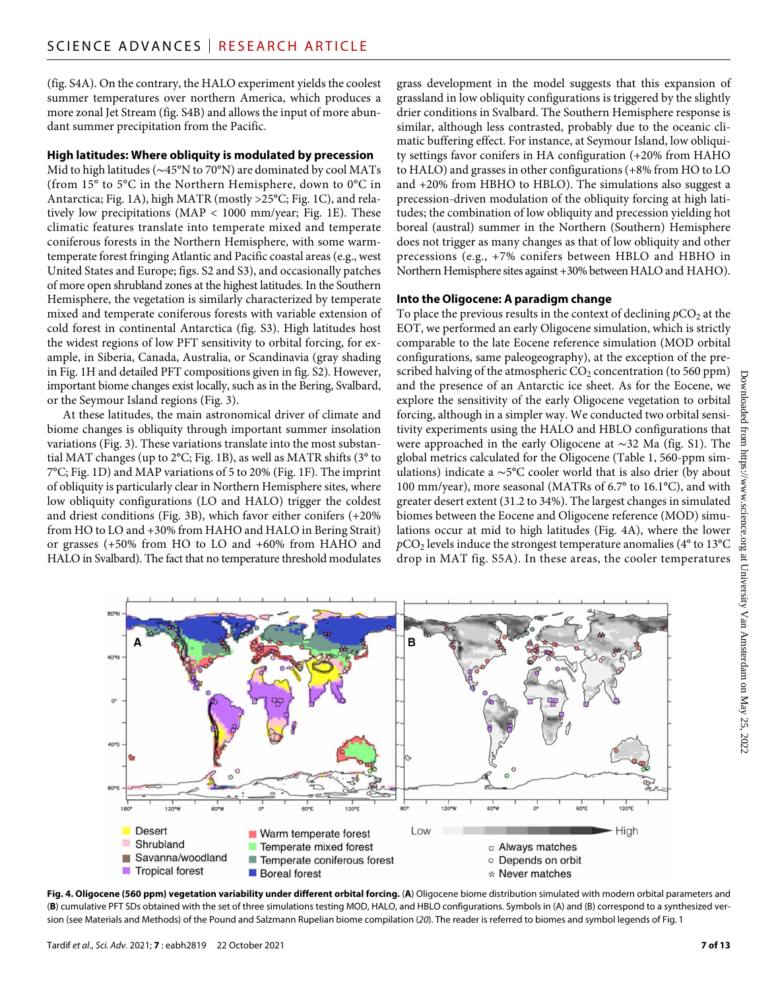(fig. S4A). On the contrary, the HALO experiment yields the coolest summer temperatures over northern America, which produces a more zonal Jet Stream (fig. S4B) and allows the input of more abundant summer precipitation from the Pacific.

#### **High latitudes: Where obliquity is modulated by precession**

Mid to high latitudes (∼45°N to 70°N) are dominated by cool MATs (from 15° to 5°C in the Northern Hemisphere, down to 0°C in Antarctica; Fig. 1A), high MATR (mostly >25°C; Fig. 1C), and relatively low precipitations (MAP < 1000 mm/year; Fig. 1E). These climatic features translate into temperate mixed and temperate coniferous forests in the Northern Hemisphere, with some warmtemperate forest fringing Atlantic and Pacific coastal areas (e.g., west United States and Europe; figs. S2 and S3), and occasionally patches of more open shrubland zones at the highest latitudes. In the Southern Hemisphere, the vegetation is similarly characterized by temperate mixed and temperate coniferous forests with variable extension of cold forest in continental Antarctica (fig. S3). High latitudes host the widest regions of low PFT sensitivity to orbital forcing, for example, in Siberia, Canada, Australia, or Scandinavia (gray shading in Fig. 1H and detailed PFT compositions given in fig. S2). However, important biome changes exist locally, such as in the Bering, Svalbard, or the Seymour Island regions (Fig. 3).

At these latitudes, the main astronomical driver of climate and biome changes is obliquity through important summer insolation variations (Fig. 3). These variations translate into the most substantial MAT changes (up to 2°C; Fig. 1B), as well as MATR shifts (3° to 7°C; Fig. 1D) and MAP variations of 5 to 20% (Fig. 1F). The imprint of obliquity is particularly clear in Northern Hemisphere sites, where low obliquity configurations (LO and HALO) trigger the coldest and driest conditions (Fig. 3B), which favor either conifers (+20% from HO to LO and +30% from HAHO and HALO in Bering Strait) or grasses (+50% from HO to LO and +60% from HAHO and HALO in Svalbard). The fact that no temperature threshold modulates

grass development in the model suggests that this expansion of grassland in low obliquity configurations is triggered by the slightly drier conditions in Svalbard. The Southern Hemisphere response is similar, although less contrasted, probably due to the oceanic climatic buffering effect. For instance, at Seymour Island, low obliquity settings favor conifers in HA configuration (+20% from HAHO to HALO) and grasses in other configurations (+8% from HO to LO and +20% from HBHO to HBLO). The simulations also suggest a precession-driven modulation of the obliquity forcing at high latitudes; the combination of low obliquity and precession yielding hot boreal (austral) summer in the Northern (Southern) Hemisphere does not trigger as many changes as that of low obliquity and other precessions (e.g., +7% conifers between HBLO and HBHO in Northern Hemisphere sites against +30% between HALO and HAHO).

#### **Into the Oligocene: A paradigm change**

To place the previous results in the context of declining  $pCO_2$  at the EOT, we performed an early Oligocene simulation, which is strictly comparable to the late Eocene reference simulation (MOD orbital configurations, same paleogeography), at the exception of the prescribed halving of the atmospheric  $CO<sub>2</sub>$  concentration (to 560 ppm) and the presence of an Antarctic ice sheet. As for the Eocene, we explore the sensitivity of the early Oligocene vegetation to orbital forcing, although in a simpler way. We conducted two orbital sensitivity experiments using the HALO and HBLO configurations that were approached in the early Oligocene at ∼32 Ma (fig. S1). The global metrics calculated for the Oligocene (Table 1, 560-ppm simulations) indicate a ∼5°C cooler world that is also drier (by about 100 mm/year), more seasonal (MATRs of 6.7° to 16.1°C), and with greater desert extent (31.2 to 34%). The largest changes in simulated biomes between the Eocene and Oligocene reference (MOD) simulations occur at mid to high latitudes (Fig. 4A), where the lower  $pCO<sub>2</sub>$  levels induce the strongest temperature anomalies ( $4^{\circ}$  to  $13^{\circ}$ C drop in MAT fig. S5A). In these areas, the cooler temperatures



**Fig. 4. Oligocene (560 ppm) vegetation variability under different orbital forcing.** (**A**) Oligocene biome distribution simulated with modern orbital parameters and (**B**) cumulative PFT SDs obtained with the set of three simulations testing MOD, HALO, and HBLO configurations. Symbols in (A) and (B) correspond to a synthesized version (see Materials and Methods) of the Pound and Salzmann Rupelian biome compilation (*20*). The reader is referred to biomes and symbol legends of Fig. 1

Downloaded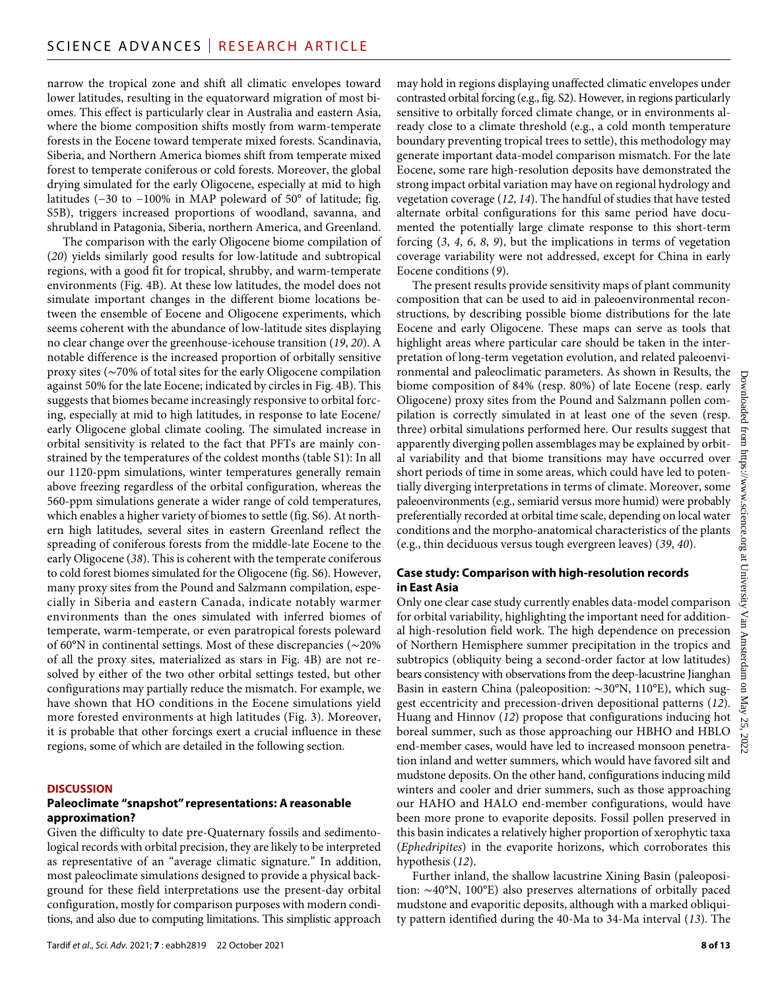narrow the tropical zone and shift all climatic envelopes toward lower latitudes, resulting in the equatorward migration of most biomes. This effect is particularly clear in Australia and eastern Asia, where the biome composition shifts mostly from warm-temperate forests in the Eocene toward temperate mixed forests. Scandinavia, Siberia, and Northern America biomes shift from temperate mixed forest to temperate coniferous or cold forests. Moreover, the global drying simulated for the early Oligocene, especially at mid to high latitudes (−30 to −100% in MAP poleward of 50° of latitude; fig. S5B), triggers increased proportions of woodland, savanna, and shrubland in Patagonia, Siberia, northern America, and Greenland.

The comparison with the early Oligocene biome compilation of (*20*) yields similarly good results for low-latitude and subtropical regions, with a good fit for tropical, shrubby, and warm-temperate environments (Fig. 4B). At these low latitudes, the model does not simulate important changes in the different biome locations between the ensemble of Eocene and Oligocene experiments, which seems coherent with the abundance of low-latitude sites displaying no clear change over the greenhouse-icehouse transition (*19*, *20*). A notable difference is the increased proportion of orbitally sensitive proxy sites (∼70% of total sites for the early Oligocene compilation against 50% for the late Eocene; indicated by circles in Fig. 4B). This suggests that biomes became increasingly responsive to orbital forcing, especially at mid to high latitudes, in response to late Eocene/ early Oligocene global climate cooling. The simulated increase in orbital sensitivity is related to the fact that PFTs are mainly constrained by the temperatures of the coldest months (table S1): In all our 1120-ppm simulations, winter temperatures generally remain above freezing regardless of the orbital configuration, whereas the 560-ppm simulations generate a wider range of cold temperatures, which enables a higher variety of biomes to settle (fig. S6). At northern high latitudes, several sites in eastern Greenland reflect the spreading of coniferous forests from the middle-late Eocene to the early Oligocene (*38*). This is coherent with the temperate coniferous to cold forest biomes simulated for the Oligocene (fig. S6). However, many proxy sites from the Pound and Salzmann compilation, especially in Siberia and eastern Canada, indicate notably warmer environments than the ones simulated with inferred biomes of temperate, warm-temperate, or even paratropical forests poleward of 60°N in continental settings. Most of these discrepancies (∼20% of all the proxy sites, materialized as stars in Fig. 4B) are not resolved by either of the two other orbital settings tested, but other configurations may partially reduce the mismatch. For example, we have shown that HO conditions in the Eocene simulations yield more forested environments at high latitudes (Fig. 3). Moreover, it is probable that other forcings exert a crucial influence in these regions, some of which are detailed in the following section.

#### **DISCUSSION**

#### **Paleoclimate "snapshot" representations: A reasonable approximation?**

Given the difficulty to date pre-Quaternary fossils and sedimentological records with orbital precision, they are likely to be interpreted as representative of an "average climatic signature." In addition, most paleoclimate simulations designed to provide a physical background for these field interpretations use the present-day orbital configuration, mostly for comparison purposes with modern conditions, and also due to computing limitations. This simplistic approach

may hold in regions displaying unaffected climatic envelopes under contrasted orbital forcing (e.g., fig. S2). However, in regions particularly sensitive to orbitally forced climate change, or in environments already close to a climate threshold (e.g., a cold month temperature boundary preventing tropical trees to settle), this methodology may generate important data-model comparison mismatch. For the late Eocene, some rare high-resolution deposits have demonstrated the strong impact orbital variation may have on regional hydrology and vegetation coverage (*12*, *14*). The handful of studies that have tested alternate orbital configurations for this same period have documented the potentially large climate response to this short-term forcing (*3*, *4*, *6*, *8*, *9*), but the implications in terms of vegetation coverage variability were not addressed, except for China in early Eocene conditions (*9*).

The present results provide sensitivity maps of plant community composition that can be used to aid in paleoenvironmental reconstructions, by describing possible biome distributions for the late Eocene and early Oligocene. These maps can serve as tools that highlight areas where particular care should be taken in the interpretation of long-term vegetation evolution, and related paleoenvironmental and paleoclimatic parameters. As shown in Results, the biome composition of 84% (resp. 80%) of late Eocene (resp. early Oligocene) proxy sites from the Pound and Salzmann pollen compilation is correctly simulated in at least one of the seven (resp. three) orbital simulations performed here. Our results suggest that apparently diverging pollen assemblages may be explained by orbital variability and that biome transitions may have occurred over short periods of time in some areas, which could have led to potentially diverging interpretations in terms of climate. Moreover, some paleoenvironments (e.g., semiarid versus more humid) were probably preferentially recorded at orbital time scale, depending on local water conditions and the morpho-anatomical characteristics of the plants (e.g., thin deciduous versus tough evergreen leaves) (*39*, *40*).

#### **Case study: Comparison with high-resolution records in East Asia**

Only one clear case study currently enables data-model comparison for orbital variability, highlighting the important need for additional high-resolution field work. The high dependence on precession of Northern Hemisphere summer precipitation in the tropics and subtropics (obliquity being a second-order factor at low latitudes) bears consistency with observations from the deep-lacustrine Jianghan Basin in eastern China (paleoposition: ∼30°N, 110°E), which suggest eccentricity and precession-driven depositional patterns (*12*). Huang and Hinnov (*12*) propose that configurations inducing hot boreal summer, such as those approaching our HBHO and HBLO end-member cases, would have led to increased monsoon penetration inland and wetter summers, which would have favored silt and mudstone deposits. On the other hand, configurations inducing mild winters and cooler and drier summers, such as those approaching our HAHO and HALO end-member configurations, would have been more prone to evaporite deposits. Fossil pollen preserved in this basin indicates a relatively higher proportion of xerophytic taxa (*Ephedripites*) in the evaporite horizons, which corroborates this hypothesis (*12*).

Further inland, the shallow lacustrine Xining Basin (paleoposition: ∼40°N, 100°E) also preserves alternations of orbitally paced mudstone and evaporitic deposits, although with a marked obliquity pattern identified during the 40-Ma to 34-Ma interval (*13*). The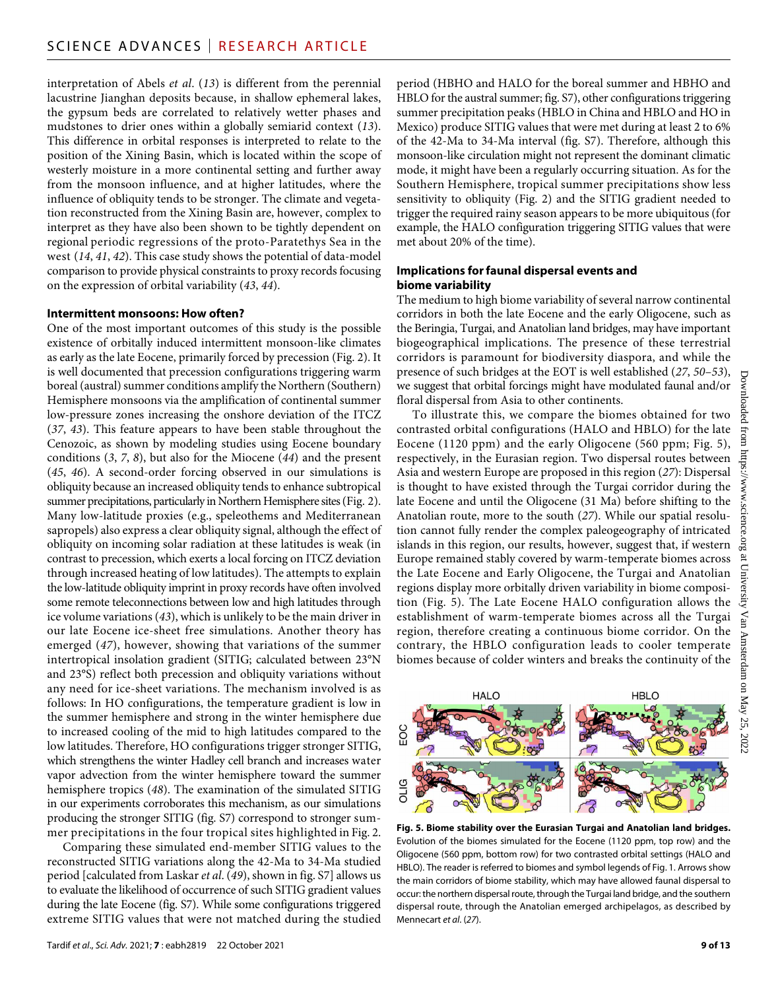interpretation of Abels *et al*. (*13*) is different from the perennial lacustrine Jianghan deposits because, in shallow ephemeral lakes, the gypsum beds are correlated to relatively wetter phases and mudstones to drier ones within a globally semiarid context (*13*). This difference in orbital responses is interpreted to relate to the position of the Xining Basin, which is located within the scope of westerly moisture in a more continental setting and further away from the monsoon influence, and at higher latitudes, where the influence of obliquity tends to be stronger. The climate and vegetation reconstructed from the Xining Basin are, however, complex to interpret as they have also been shown to be tightly dependent on regional periodic regressions of the proto-Paratethys Sea in the west (*14*, *41*, *42*). This case study shows the potential of data-model comparison to provide physical constraints to proxy records focusing on the expression of orbital variability (*43*, *44*).

#### **Intermittent monsoons: How often?**

One of the most important outcomes of this study is the possible existence of orbitally induced intermittent monsoon-like climates as early as the late Eocene, primarily forced by precession (Fig. 2). It is well documented that precession configurations triggering warm boreal (austral) summer conditions amplify the Northern (Southern) Hemisphere monsoons via the amplification of continental summer low-pressure zones increasing the onshore deviation of the ITCZ (*37*, *43*). This feature appears to have been stable throughout the Cenozoic, as shown by modeling studies using Eocene boundary conditions (*3*, *7*, *8*), but also for the Miocene (*44*) and the present (*45*, *46*). A second-order forcing observed in our simulations is obliquity because an increased obliquity tends to enhance subtropical summer precipitations, particularly in Northern Hemisphere sites (Fig. 2). Many low-latitude proxies (e.g., speleothems and Mediterranean sapropels) also express a clear obliquity signal, although the effect of obliquity on incoming solar radiation at these latitudes is weak (in contrast to precession, which exerts a local forcing on ITCZ deviation through increased heating of low latitudes). The attempts to explain the low-latitude obliquity imprint in proxy records have often involved some remote teleconnections between low and high latitudes through ice volume variations (*43*), which is unlikely to be the main driver in our late Eocene ice-sheet free simulations. Another theory has emerged (*47*), however, showing that variations of the summer intertropical insolation gradient (SITIG; calculated between 23°N and 23°S) reflect both precession and obliquity variations without any need for ice-sheet variations. The mechanism involved is as follows: In HO configurations, the temperature gradient is low in the summer hemisphere and strong in the winter hemisphere due to increased cooling of the mid to high latitudes compared to the low latitudes. Therefore, HO configurations trigger stronger SITIG, which strengthens the winter Hadley cell branch and increases water vapor advection from the winter hemisphere toward the summer hemisphere tropics (*48*). The examination of the simulated SITIG in our experiments corroborates this mechanism, as our simulations producing the stronger SITIG (fig. S7) correspond to stronger summer precipitations in the four tropical sites highlighted in Fig. 2.

Comparing these simulated end-member SITIG values to the reconstructed SITIG variations along the 42-Ma to 34-Ma studied period [calculated from Laskar *et al*. (*49*), shown in fig. S7] allows us to evaluate the likelihood of occurrence of such SITIG gradient values during the late Eocene (fig. S7). While some configurations triggered extreme SITIG values that were not matched during the studied

Tardif *et al*., *Sci. Adv.* 2021; **7** : eabh2819 22 October 2021

period (HBHO and HALO for the boreal summer and HBHO and HBLO for the austral summer; fig. S7), other configurations triggering summer precipitation peaks (HBLO in China and HBLO and HO in Mexico) produce SITIG values that were met during at least 2 to 6% of the 42-Ma to 34-Ma interval (fig. S7). Therefore, although this monsoon-like circulation might not represent the dominant climatic mode, it might have been a regularly occurring situation. As for the Southern Hemisphere, tropical summer precipitations show less sensitivity to obliquity (Fig. 2) and the SITIG gradient needed to trigger the required rainy season appears to be more ubiquitous (for example, the HALO configuration triggering SITIG values that were met about 20% of the time).

#### **Implications forfaunal dispersal events and biome variability**

The medium to high biome variability of several narrow continental corridors in both the late Eocene and the early Oligocene, such as the Beringia, Turgai, and Anatolian land bridges, may have important biogeographical implications. The presence of these terrestrial corridors is paramount for biodiversity diaspora, and while the presence of such bridges at the EOT is well established (*27*, *50*–*53*), we suggest that orbital forcings might have modulated faunal and/or floral dispersal from Asia to other continents.

To illustrate this, we compare the biomes obtained for two contrasted orbital configurations (HALO and HBLO) for the late<br>Eocene (1120 ppm) and the early Oligocene (560 ppm; Fig. 5), Eocene (1120 ppm) and the early Oligocene (560 ppm; Fig. 5), respectively, in the Eurasian region. Two dispersal routes between Asia and western Europe are proposed in this region (*27*): Dispersal is thought to have existed through the Turgai corridor during the late Eocene and until the Oligocene (31 Ma) before shifting to the Anatolian route, more to the south (*27*). While our spatial resolution cannot fully render the complex paleogeography of intricated islands in this region, our results, however, suggest that, if western Europe remained stably covered by warm-temperate biomes across the Late Eocene and Early Oligocene, the Turgai and Anatolian regions display more orbitally driven variability in biome composition (Fig. 5). The Late Eocene HALO configuration allows the establishment of warm-temperate biomes across all the Turgai region, therefore creating a continuous biome corridor. On the contrary, the HBLO configuration leads to cooler temperate biomes because of colder winters and breaks the continuity of the



**Fig. 5. Biome stability over the Eurasian Turgai and Anatolian land bridges.** Evolution of the biomes simulated for the Eocene (1120 ppm, top row) and the Oligocene (560 ppm, bottom row) for two contrasted orbital settings (HALO and HBLO). The reader is referred to biomes and symbol legends of Fig. 1. Arrows show the main corridors of biome stability, which may have allowed faunal dispersal to occur: the northern dispersal route, through the Turgai land bridge, and the southern dispersal route, through the Anatolian emerged archipelagos, as described by Mennecart *et al*. (*27*).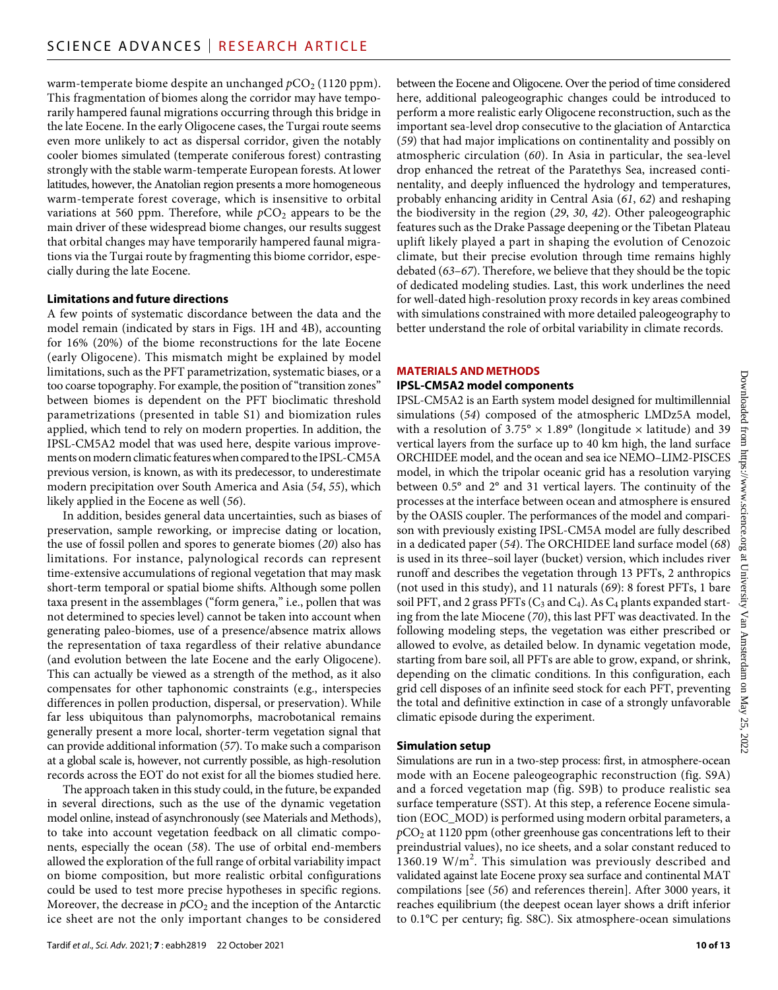warm-temperate biome despite an unchanged  $pCO_2$  (1120 ppm). This fragmentation of biomes along the corridor may have temporarily hampered faunal migrations occurring through this bridge in the late Eocene. In the early Oligocene cases, the Turgai route seems even more unlikely to act as dispersal corridor, given the notably cooler biomes simulated (temperate coniferous forest) contrasting strongly with the stable warm-temperate European forests. At lower latitudes, however, the Anatolian region presents a more homogeneous warm-temperate forest coverage, which is insensitive to orbital variations at 560 ppm. Therefore, while  $pCO_2$  appears to be the main driver of these widespread biome changes, our results suggest that orbital changes may have temporarily hampered faunal migrations via the Turgai route by fragmenting this biome corridor, especially during the late Eocene.

#### **Limitations and future directions**

A few points of systematic discordance between the data and the model remain (indicated by stars in Figs. 1H and 4B), accounting for 16% (20%) of the biome reconstructions for the late Eocene (early Oligocene). This mismatch might be explained by model limitations, such as the PFT parametrization, systematic biases, or a too coarse topography. For example, the position of "transition zones" between biomes is dependent on the PFT bioclimatic threshold parametrizations (presented in table S1) and biomization rules applied, which tend to rely on modern properties. In addition, the IPSL-CM5A2 model that was used here, despite various improvements on modern climatic features when compared to the IPSL-CM5A previous version, is known, as with its predecessor, to underestimate modern precipitation over South America and Asia (*54*, *55*), which likely applied in the Eocene as well (*56*).

In addition, besides general data uncertainties, such as biases of preservation, sample reworking, or imprecise dating or location, the use of fossil pollen and spores to generate biomes (*20*) also has limitations. For instance, palynological records can represent time-extensive accumulations of regional vegetation that may mask short-term temporal or spatial biome shifts. Although some pollen taxa present in the assemblages ("form genera," i.e., pollen that was not determined to species level) cannot be taken into account when generating paleo-biomes, use of a presence/absence matrix allows the representation of taxa regardless of their relative abundance (and evolution between the late Eocene and the early Oligocene). This can actually be viewed as a strength of the method, as it also compensates for other taphonomic constraints (e.g., interspecies differences in pollen production, dispersal, or preservation). While far less ubiquitous than palynomorphs, macrobotanical remains generally present a more local, shorter-term vegetation signal that can provide additional information (*57*). To make such a comparison at a global scale is, however, not currently possible, as high-resolution records across the EOT do not exist for all the biomes studied here.

The approach taken in this study could, in the future, be expanded in several directions, such as the use of the dynamic vegetation model online, instead of asynchronously (see Materials and Methods), to take into account vegetation feedback on all climatic components, especially the ocean (*58*). The use of orbital end-members allowed the exploration of the full range of orbital variability impact on biome composition, but more realistic orbital configurations could be used to test more precise hypotheses in specific regions. Moreover, the decrease in  $pCO<sub>2</sub>$  and the inception of the Antarctic ice sheet are not the only important changes to be considered

between the Eocene and Oligocene. Over the period of time considered here, additional paleogeographic changes could be introduced to perform a more realistic early Oligocene reconstruction, such as the important sea-level drop consecutive to the glaciation of Antarctica (*59*) that had major implications on continentality and possibly on atmospheric circulation (*60*). In Asia in particular, the sea-level drop enhanced the retreat of the Paratethys Sea, increased continentality, and deeply influenced the hydrology and temperatures, probably enhancing aridity in Central Asia (*61*, *62*) and reshaping the biodiversity in the region (*29*, *30*, *42*). Other paleogeographic features such as the Drake Passage deepening or the Tibetan Plateau uplift likely played a part in shaping the evolution of Cenozoic climate, but their precise evolution through time remains highly debated (*63*–*67*). Therefore, we believe that they should be the topic of dedicated modeling studies. Last, this work underlines the need for well-dated high-resolution proxy records in key areas combined with simulations constrained with more detailed paleogeography to better understand the role of orbital variability in climate records.

#### **MATERIALS AND METHODS**

#### **IPSL-CM5A2 model components**

IPSL-CM5A2 is an Earth system model designed for multimillennial simulations (*54*) composed of the atmospheric LMDz5A model, with a resolution of  $3.75^{\circ} \times 1.89^{\circ}$  (longitude  $\times$  latitude) and 39 vertical layers from the surface up to 40 km high, the land surface ORCHIDEE model, and the ocean and sea ice NEMO–LIM2-PISCES model, in which the tripolar oceanic grid has a resolution varying between 0.5° and 2° and 31 vertical layers. The continuity of the processes at the interface between ocean and atmosphere is ensured by the OASIS coupler. The performances of the model and comparison with previously existing IPSL-CM5A model are fully described in a dedicated paper (*54*). The ORCHIDEE land surface model (*68*) is used in its three–soil layer (bucket) version, which includes river runoff and describes the vegetation through 13 PFTs, 2 anthropics (not used in this study), and 11 naturals (*69*): 8 forest PFTs, 1 bare soil PFT, and 2 grass PFTs ( $C_3$  and  $C_4$ ). As  $C_4$  plants expanded starting from the late Miocene (*70*), this last PFT was deactivated. In the following modeling steps, the vegetation was either prescribed or allowed to evolve, as detailed below. In dynamic vegetation mode, starting from bare soil, all PFTs are able to grow, expand, or shrink, depending on the climatic conditions. In this configuration, each grid cell disposes of an infinite seed stock for each PFT, preventing the total and definitive extinction in case of a strongly unfavorable climatic episode during the experiment.

#### **Simulation setup**

Simulations are run in a two-step process: first, in atmosphere-ocean mode with an Eocene paleogeographic reconstruction (fig. S9A) and a forced vegetation map (fig. S9B) to produce realistic sea surface temperature (SST). At this step, a reference Eocene simulation (EOC\_MOD) is performed using modern orbital parameters, a *p*CO2 at 1120 ppm (other greenhouse gas concentrations left to their preindustrial values), no ice sheets, and a solar constant reduced to 1360.19  $W/m^2$ . This simulation was previously described and validated against late Eocene proxy sea surface and continental MAT compilations [see (*56*) and references therein]. After 3000 years, it reaches equilibrium (the deepest ocean layer shows a drift inferior to 0.1°C per century; fig. S8C). Six atmosphere-ocean simulations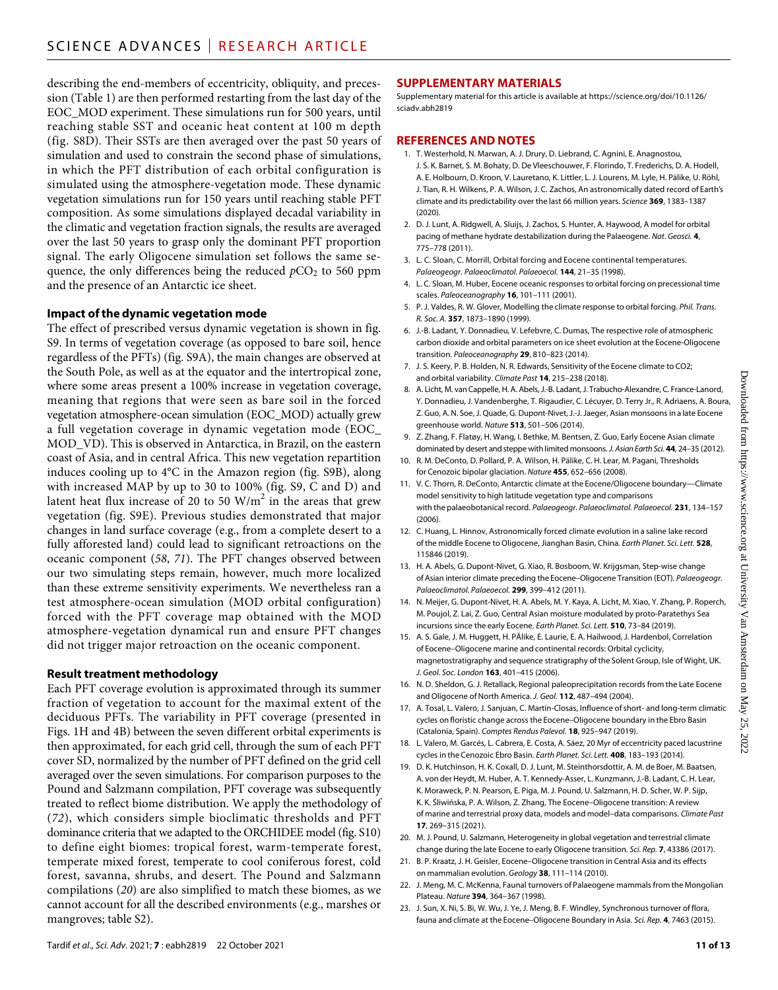describing the end-members of eccentricity, obliquity, and precession (Table 1) are then performed restarting from the last day of the EOC\_MOD experiment. These simulations run for 500 years, until reaching stable SST and oceanic heat content at 100 m depth (fig. S8D). Their SSTs are then averaged over the past 50 years of simulation and used to constrain the second phase of simulations, in which the PFT distribution of each orbital configuration is simulated using the atmosphere-vegetation mode. These dynamic vegetation simulations run for 150 years until reaching stable PFT composition. As some simulations displayed decadal variability in the climatic and vegetation fraction signals, the results are averaged over the last 50 years to grasp only the dominant PFT proportion signal. The early Oligocene simulation set follows the same sequence, the only differences being the reduced  $pCO<sub>2</sub>$  to 560 ppm and the presence of an Antarctic ice sheet.

#### **Impact of the dynamic vegetation mode**

The effect of prescribed versus dynamic vegetation is shown in fig. S9. In terms of vegetation coverage (as opposed to bare soil, hence regardless of the PFTs) (fig. S9A), the main changes are observed at the South Pole, as well as at the equator and the intertropical zone, where some areas present a 100% increase in vegetation coverage, meaning that regions that were seen as bare soil in the forced vegetation atmosphere-ocean simulation (EOC\_MOD) actually grew a full vegetation coverage in dynamic vegetation mode (EOC\_ MOD\_VD). This is observed in Antarctica, in Brazil, on the eastern coast of Asia, and in central Africa. This new vegetation repartition induces cooling up to 4°C in the Amazon region (fig. S9B), along with increased MAP by up to 30 to 100% (fig. S9, C and D) and latent heat flux increase of 20 to 50  $\text{W/m}^2$  in the areas that grew vegetation (fig. S9E). Previous studies demonstrated that major changes in land surface coverage (e.g., from a complete desert to a fully afforested land) could lead to significant retroactions on the oceanic component (*58*, *71*). The PFT changes observed between our two simulating steps remain, however, much more localized than these extreme sensitivity experiments. We nevertheless ran a test atmosphere-ocean simulation (MOD orbital configuration) forced with the PFT coverage map obtained with the MOD atmosphere-vegetation dynamical run and ensure PFT changes did not trigger major retroaction on the oceanic component.

#### **Result treatment methodology**

Each PFT coverage evolution is approximated through its summer fraction of vegetation to account for the maximal extent of the deciduous PFTs. The variability in PFT coverage (presented in Figs. 1H and 4B) between the seven different orbital experiments is then approximated, for each grid cell, through the sum of each PFT cover SD, normalized by the number of PFT defined on the grid cell averaged over the seven simulations. For comparison purposes to the Pound and Salzmann compilation, PFT coverage was subsequently treated to reflect biome distribution. We apply the methodology of (*72*), which considers simple bioclimatic thresholds and PFT dominance criteria that we adapted to the ORCHIDEE model (fig. S10) to define eight biomes: tropical forest, warm-temperate forest, temperate mixed forest, temperate to cool coniferous forest, cold forest, savanna, shrubs, and desert. The Pound and Salzmann compilations (*20*) are also simplified to match these biomes, as we cannot account for all the described environments (e.g., marshes or mangroves; table S2).

#### **SUPPLEMENTARY MATERIALS**

Supplementary material for this article is available at [https://science.org/doi/10.1126/](https://science.org/doi/10.1126/sciadv.abh2819) [sciadv.abh2819](https://science.org/doi/10.1126/sciadv.abh2819)

#### **REFERENCES AND NOTES**

- 1. T. Westerhold, N. Marwan, A. J. Drury, D. Liebrand, C. Agnini, E. Anagnostou, J. S. K. Barnet, S. M. Bohaty, D. De Vleeschouwer, F. Florindo, T. Frederichs, D. A. Hodell, A. E. Holbourn, D. Kroon, V. Lauretano, K. Littler, L. J. Lourens, M. Lyle, H. Pälike, U. Röhl, J. Tian, R. H. Wilkens, P. A. Wilson, J. C. Zachos, An astronomically dated record of Earth's climate and its predictability over the last 66 million years. *Science* **369**, 1383–1387 (2020).
- 2. D. J. Lunt, A. Ridgwell, A. Sluijs, J. Zachos, S. Hunter, A. Haywood, A model for orbital pacing of methane hydrate destabilization during the Palaeogene. *Nat. Geosci.* **4**, 775–778 (2011).
- 3. L. C. Sloan, C. Morrill, Orbital forcing and Eocene continental temperatures. *Palaeogeogr. Palaeoclimatol. Palaeoecol.* **144**, 21–35 (1998).
- 4. L. C. Sloan, M. Huber, Eocene oceanic responses to orbital forcing on precessional time scales. *Paleoceanography* **16**, 101–111 (2001).
- 5. P. J. Valdes, R. W. Glover, Modelling the climate response to orbital forcing. *Phil. Trans. R. Soc. A.* **357**, 1873–1890 (1999).
- 6. J.-B. Ladant, Y. Donnadieu, V. Lefebvre, C. Dumas, The respective role of atmospheric carbon dioxide and orbital parameters on ice sheet evolution at the Eocene-Oligocene transition. *Paleoceanography* **29**, 810–823 (2014).
- 7. J. S. Keery, P. B. Holden, N. R. Edwards, Sensitivity of the Eocene climate to CO2; and orbital variability. *Climate Past* **14**, 215–238 (2018).
- 8. A. Licht, M. van Cappelle, H. A. Abels, J.-B. Ladant, J. Trabucho-Alexandre, C. France-Lanord, Y. Donnadieu, J. Vandenberghe, T. Rigaudier, C. Lécuyer, D. Terry Jr., R. Adriaens, A. Boura, Z. Guo, A. N. Soe, J. Quade, G. Dupont-Nivet, J.-J. Jaeger, Asian monsoons in a late Eocene greenhouse world. *Nature* **513**, 501–506 (2014).
- 9. Z. Zhang, F. Flatøy, H. Wang, I. Bethke, M. Bentsen, Z. Guo, Early Eocene Asian climate dominated by desert and steppe with limited monsoons. *J. Asian Earth Sci.* 44, 24-35 (2012).
- 10. R. M. DeConto, D. Pollard, P. A. Wilson, H. Pälike, C. H. Lear, M. Pagani, Thresholds for Cenozoic bipolar glaciation. *Nature* **455**, 652–656 (2008).
- 11. V. C. Thorn, R. DeConto, Antarctic climate at the Eocene/Oligocene boundary—Climate model sensitivity to high latitude vegetation type and comparisons with the palaeobotanical record. *Palaeogeogr. Palaeoclimatol. Palaeoecol.* **231**, 134–157  $(2006)$
- 12. C. Huang, L. Hinnov, Astronomically forced climate evolution in a saline lake record of the middle Eocene toOligocene, Jianghan Basin, China. *Earth Planet. Sci. Lett.* **528**, 115846 (2019).
- 13. H. A. Abels, G. Dupont-Nivet, G. Xiao, R. Bosboom, W. Krijgsman, Step-wise change ofAsian interior climate preceding the Eocene–Oligocene Transition (EOT). *Palaeogeogr. Palaeoclimatol. Palaeoecol.* **299**, 399–412 (2011).
- 14. N. Meijer, G. Dupont-Nivet, H. A. Abels, M. Y. Kaya, A. Licht, M. Xiao, Y. Zhang, P. Roperch, M. Poujol, Z. Lai, Z. Guo, Central Asian moisture modulated by proto-Paratethys Sea incursions since the early Eocene. *Earth Planet. Sci. Lett.* **510**, 73–84 (2019).
- 15. A. S. Gale, J. M. Huggett, H. PÄlike, E. Laurie, E. A. Hailwood, J. Hardenbol, Correlation of Eocene–Oligocene marine and continental records: Orbital cyclicity, magnetostratigraphy and sequence stratigraphy of the Solent Group, Isle of Wight, UK. *J. Geol. Soc. London* **163**, 401–415 (2006).
- 16. N. D. Sheldon, G. J. Retallack, Regional paleoprecipitation records from the Late Eocene andOligocene of North America. *J. Geol.* **112**, 487–494 (2004).
- 17. A. Tosal, L. Valero, J. Sanjuan, C. Martín-Closas, Influence ofshort- and long-term climatic cycles on floristic change across the Eocene–Oligocene boundary in the Ebro Basin (Catalonia, Spain). *Comptes Rendus Palevol.* **18**, 925–947 (2019).
- 18. L. Valero, M. Garcés, L. Cabrera, E. Costa, A. Sáez, 20 Myr of eccentricity paced lacustrine cycles in the Cenozoic Ebro Basin. *Earth Planet. Sci. Lett.* **408**, 183–193 (2014).
- 19. D. K. Hutchinson, H. K. Coxall, D. J. Lunt, M. Steinthorsdottir, A. M. de Boer, M. Baatsen, A. von der Heydt, M. Huber, A. T. Kennedy-Asser, L. Kunzmann, J.-B. Ladant, C. H. Lear, K. Moraweck, P. N. Pearson, E. Piga, M. J. Pound, U. Salzmann, H. D. Scher, W. P. Sijp, K. K. Śliwińska, P. A. Wilson, Z. Zhang, The Eocene–Oligocene transition: A review of marine and terrestrial proxy data, models and model–data comparisons. *Climate Past* **17**, 269–315 (2021).
- 20. M. J. Pound, U. Salzmann, Heterogeneity in global vegetation and terrestrial climate change during the late Eocene to early Oligocene transition. *Sci. Rep.* **7**, 43386 (2017).
- 21. B. P. Kraatz, J. H. Geisler, Eocene–Oligocene transition in Central Asia and its effects on mammalian evolution. *Geology* **38**, 111–114 (2010).
- 22. J. Meng, M. C. McKenna, Faunal turnovers of Palaeogene mammals from the Mongolian Plateau. *Nature* **394**, 364–367 (1998).
- 23. J. Sun, X. Ni, S. Bi, W. Wu, J. Ye, J. Meng, B. F. Windley, Synchronous turnover of flora, fauna and climate at the Eocene–Oligocene Boundary in Asia. *Sci. Rep.* **4**, 7463 (2015).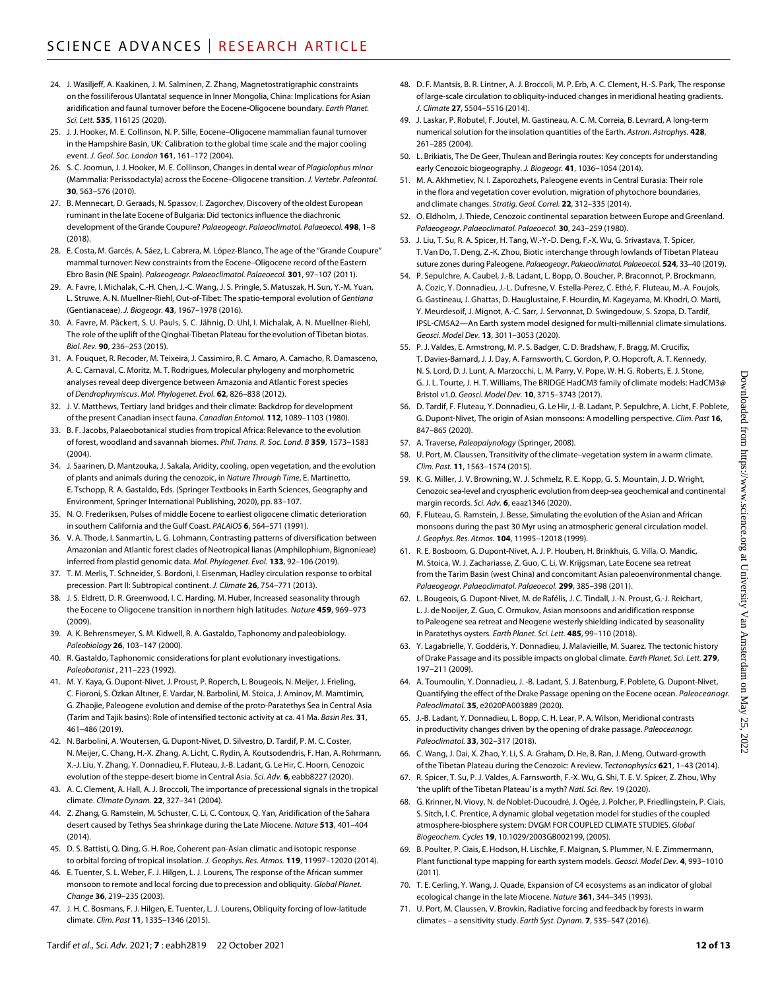- 24. J. Wasiljeff, A. Kaakinen, J. M. Salminen, Z. Zhang, Magnetostratigraphic constraints on the fossiliferous Ulantatal sequence in Inner Mongolia, China: Implications for Asian aridification and faunal turnover before the Eocene-Oligocene boundary. *Earth Planet. Sci. Lett.* **535**, 116125 (2020).
- 25. J. J. Hooker, M. E. Collinson, N. P. Sille, Eocene–Oligocene mammalian faunal turnover in the Hampshire Basin, UK: Calibration to the global time scale and the major cooling event. *J. Geol. Soc. London* **161**, 161–172 (2004).
- 26. S. C. Joomun, J. J. Hooker, M. E. Collinson, Changes in dental wear of *Plagiolophus minor* (Mammalia: Perissodactyla) across the Eocene–Oligocene transition. *J. Vertebr. Paleontol.* **30**, 563–576 (2010).
- 27. B. Mennecart, D. Geraads, N. Spassov, I. Zagorchev, Discovery of the oldest European ruminant in the late Eocene of Bulgaria: Did tectonics influence the diachronic development of the Grande Coupure? *Palaeogeogr. Palaeoclimatol. Palaeoecol.* **498**, 1–8 (2018).
- 28. E. Costa, M. Garcés, A. Sáez, L. Cabrera, M. López-Blanco, The age of the "Grande Coupure" mammal turnover: New constraints from the Eocene–Oligocene record of the Eastern Ebro Basin (NE Spain). *Palaeogeogr. Palaeoclimatol. Palaeoecol.* **301**, 97–107 (2011).
- 29. A. Favre, I. Michalak, C.-H. Chen, J.-C. Wang, J. S. Pringle, S. Matuszak, H. Sun, Y.-M. Yuan, L. Struwe, A. N. Muellner-Riehl, Out-of-Tibet: The spatio-temporal evolution of *Gentiana* (Gentianaceae). *J. Biogeogr.* **43**, 1967–1978 (2016).
- 30. A. Favre, M. Päckert, S. U. Pauls, S. C. Jähnig, D. Uhl, I. Michalak, A. N. Muellner-Riehl, The role of the uplift of the Qinghai-Tibetan Plateau for the evolution of Tibetan biotas. *Biol. Rev.* **90**, 236–253 (2015).
- 31. A. Fouquet, R. Recoder, M. Teixeira, J. Cassimiro, R. C. Amaro, A. Camacho, R. Damasceno, A. C. Carnaval, C. Moritz, M. T. Rodrigues, Molecular phylogeny and morphometric analyses reveal deep divergence between Amazonia and Atlantic Forest species of *Dendrophryniscus*. *Mol. Phylogenet. Evol.* **62**, 826–838 (2012).
- 32. J. V. Matthews, Tertiary land bridges and their climate: Backdrop for development of the present Canadian insect fauna. *Canadian Entomol.* **112**, 1089–1103 (1980).
- 33. B. F. Jacobs, Palaeobotanical studies from tropical Africa: Relevance to the evolution of forest, woodland and savannah biomes. *Phil. Trans. R. Soc. Lond. B* **359**, 1573–1583  $(2004)$
- 34. J. Saarinen, D. Mantzouka, J. Sakala, Aridity, cooling, open vegetation, and the evolution of plants and animals during the cenozoic, in *Nature Through Time*, E. Martinetto, E. Tschopp, R. A. Gastaldo, Eds. (Springer Textbooks in Earth Sciences, Geography and Environment, Springer International Publishing, 2020), pp. 83–107.
- 35. N. O. Frederiksen, Pulses of middle Eocene to earliest oligocene climatic deterioration in southern California and the Gulf Coast. *PALAIOS* **6**, 564–571 (1991).
- 36. V. A. Thode, I. Sanmartín, L. G. Lohmann, Contrasting patterns of diversification between Amazonian and Atlantic forest clades of Neotropical lianas (Amphilophium, Bignonieae) inferred from plastid genomic data. *Mol. Phylogenet. Evol.* **133**, 92–106 (2019).
- 37. T. M. Merlis, T. Schneider, S. Bordoni, I. Eisenman, Hadley circulation response to orbital precession. Part II: Subtropical continent. *J. Climate* **26**, 754–771 (2013).
- 38. J. S. Eldrett, D. R. Greenwood, I. C. Harding, M. Huber, Increased seasonality through the Eocene to Oligocene transition in northern high latitudes. *Nature* **459**, 969–973 (2009).
- 39. A. K. Behrensmeyer, S. M. Kidwell, R. A. Gastaldo, Taphonomy and paleobiology. *Paleobiology* **26**, 103–147 (2000).
- 40. R. Gastaldo, Taphonomic considerations for plant evolutionary investigations. *Paleobotanist* , 211–223 (1992).
- 41. M. Y. Kaya, G. Dupont-Nivet, J. Proust, P. Roperch, L. Bougeois, N. Meijer, J. Frieling, C. Fioroni, S. Özkan Altıner, E. Vardar, N. Barbolini, M. Stoica, J. Aminov, M. Mamtimin, G. Zhaojie, Paleogene evolution and demise of the proto-Paratethys Sea in Central Asia (Tarim and Tajik basins): Role of intensified tectonic activity at ca. 41 Ma. *Basin Res.* **31**, 461–486 (2019).
- 42. N. Barbolini, A. Woutersen, G. Dupont-Nivet, D. Silvestro, D. Tardif, P. M. C. Coster, N. Meijer, C. Chang, H.-X. Zhang, A. Licht, C. Rydin, A. Koutsodendris, F. Han, A. Rohrmann, X.-J. Liu, Y. Zhang, Y. Donnadieu, F. Fluteau, J.-B. Ladant, G. Le Hir, C. Hoorn, Cenozoic evolution of the steppe-desert biome in Central Asia. *Sci. Adv.* **6**, eabb8227 (2020).
- 43. A. C. Clement, A. Hall, A. J. Broccoli, The importance of precessional signals in the tropical climate. *Climate Dynam.* **22**, 327–341 (2004).
- 44. Z. Zhang, G. Ramstein, M. Schuster, C. Li, C. Contoux, Q. Yan, Aridification of the Sahara desert caused by Tethys Sea shrinkage during the Late Miocene. *Nature* **513**, 401–404  $(2014)$
- 45. D. S. Battisti, Q. Ding, G. H. Roe, Coherent pan-Asian climatic and isotopic response to orbital forcing of tropical insolation. *J. Geophys. Res. Atmos.* **119**, 11997–12020 (2014).
- 46. E. Tuenter, S. L. Weber, F. J. Hilgen, L. J. Lourens, The response of the African summer monsoon to remote and local forcing due to precession and obliquity. *Global Planet. Change* **36**, 219–235 (2003).
- 47. J. H. C. Bosmans, F. J. Hilgen, E. Tuenter, L. J. Lourens, Obliquity forcing of low-latitude climate. *Clim. Past* **11**, 1335–1346 (2015).
- 48. D. F. Mantsis, B. R. Lintner, A. J. Broccoli, M. P. Erb, A. C. Clement, H.-S. Park, The response of large-scale circulation to obliquity-induced changes in meridional heating gradients. *J. Climate* **27**, 5504–5516 (2014).
- 49. J. Laskar, P. Robutel, F. Joutel, M. Gastineau, A. C. M. Correia, B. Levrard, A long-term numerical solution for the insolation quantities of the Earth. *Astron. Astrophys.* **428**, 261–285 (2004).
- 50. L. Brikiatis, The De Geer, Thulean and Beringia routes: Key concepts for understanding early Cenozoic biogeography. *J. Biogeogr.* **41**, 1036–1054 (2014).
- 51. M. A. Akhmetiev, N. I. Zaporozhets, Paleogene events in Central Eurasia: Their role in the flora and vegetation cover evolution, migration of phytochore boundaries, and climate changes. *Stratig. Geol. Correl.* **22**, 312–335 (2014).
- 52. O. Eldholm, J. Thiede, Cenozoic continental separation between Europe and Greenland. *Palaeogeogr. Palaeoclimatol. Palaeoecol.* **30**, 243–259 (1980).
- 53. J. Liu, T. Su, R. A. Spicer, H. Tang, W.-Y.-D. Deng, F.-X. Wu, G. Srivastava, T. Spicer, T. Van Do, T. Deng, Z.-K. Zhou, Biotic interchange through lowlands of Tibetan Plateau suture zones during Paleogene. *Palaeogeogr. Palaeoclimatol. Palaeoecol.* **524**, 33–40 (2019).
- 54. P. Sepulchre, A. Caubel, J.-B. Ladant, L. Bopp, O. Boucher, P. Braconnot, P. Brockmann, A. Cozic, Y. Donnadieu, J.-L. Dufresne, V. Estella-Perez, C. Ethé, F. Fluteau, M.-A. Foujols, G. Gastineau, J. Ghattas, D. Hauglustaine, F. Hourdin, M. Kageyama, M. Khodri, O. Marti, Y. Meurdesoif, J. Mignot, A.-C. Sarr, J. Servonnat, D. Swingedouw, S. Szopa, D. Tardif, IPSL-CM5A2—An Earth system model designed for multi-millennial climate simulations. *Geosci. Model Dev.* **13**, 3011–3053 (2020).
- 55. P. J. Valdes, E. Armstrong, M. P. S. Badger, C. D. Bradshaw, F. Bragg, M. Crucifix, T. Davies-Barnard, J. J. Day, A. Farnsworth, C. Gordon, P. O. Hopcroft, A. T. Kennedy, N. S. Lord, D. J. Lunt, A. Marzocchi, L. M. Parry, V. Pope, W. H. G. Roberts, E. J. Stone, G. J. L. Tourte, J. H. T. Williams, The BRIDGE HadCM3 family of climate models: HadCM3@ Bristol v1.0. *Geosci. Model Dev.* **10**, 3715–3743 (2017).
- 56. D. Tardif, F. Fluteau, Y. Donnadieu, G. Le Hir, J.-B. Ladant, P. Sepulchre, A. Licht, F. Poblete, G. Dupont-Nivet, The origin of Asian monsoons: A modelling perspective. *Clim. Past* **16**, 847–865 (2020).
- 57. A. Traverse, *Paleopalynology* (Springer, 2008).
- U. Port, M. Claussen, Transitivity of the climate–vegetation system in a warm climate. *Clim. Past.* **11**, 1563–1574 (2015).
- 59. K. G. Miller, J. V. Browning, W. J. Schmelz, R. E. Kopp, G. S. Mountain, J. D. Wright, Cenozoic sea-level and cryospheric evolution from deep-sea geochemical and continental margin records. *Sci. Adv.* **6**, eaaz1346 (2020).
- 60. F. Fluteau, G. Ramstein, J. Besse, Simulating the evolution of the Asian and African monsoons during the past 30 Myr using an atmospheric general circulation model. *J. Geophys. Res. Atmos.* **104**, 11995–12018 (1999).
- 61. R. E. Bosboom, G. Dupont-Nivet, A. J. P. Houben, H. Brinkhuis, G. Villa, O. Mandic, M. Stoica, W. J. Zachariasse, Z. Guo, C. Li, W. Krijgsman, Late Eocene sea retreat from the Tarim Basin (west China) and concomitant Asian paleoenvironmental change. *Palaeogeogr. Palaeoclimatol. Palaeoecol.* **299**, 385–398 (2011).
- 62. L. Bougeois, G. Dupont-Nivet, M. de Rafélis, J. C. Tindall, J.-N. Proust, G.-J. Reichart, L. J. de Nooijer, Z. Guo, C. Ormukov, Asian monsoons and aridification response to Paleogene sea retreat and Neogene westerly shielding indicated by seasonality in Paratethys oysters. *Earth Planet. Sci. Lett.* **485**, 99–110 (2018).
- 63. Y. Lagabrielle, Y. Goddéris, Y. Donnadieu, J. Malavieille, M. Suarez, The tectonic history of Drake Passage and its possible impacts on global climate. *Earth Planet. Sci. Lett.* **279**, 197–211 (2009).
- 64. A. Toumoulin, Y. Donnadieu, J. -B. Ladant, S. J. Batenburg, F. Poblete, G. Dupont-Nivet, Quantifying the effect of the Drake Passage opening on the Eocene ocean. *Paleoceanogr. Paleoclimatol.* **35**, e2020PA003889 (2020).
- 65. J.-B. Ladant, Y. Donnadieu, L. Bopp, C. H. Lear, P. A. Wilson, Meridional contrasts in productivity changes driven by the opening of drake passage. *Paleoceanogr. Paleoclimatol.* **33**, 302–317 (2018).
- 66. C. Wang, J. Dai, X. Zhao, Y. Li, S. A. Graham, D. He, B. Ran, J. Meng, Outward-growth of the Tibetan Plateau during the Cenozoic: A review. *Tectonophysics* **621**, 1–43 (2014).
- 67. R. Spicer, T. Su, P. J. Valdes, A. Farnsworth, F.-X. Wu, G. Shi, T. E. V. Spicer, Z. Zhou, Why 'the uplift of the Tibetan Plateau' is a myth? *Natl. Sci. Rev.* 19 (2020).
- 68. G. Krinner, N. Viovy, N. de Noblet-Ducoudré, J. Ogée, J. Polcher, P. Friedlingstein, P. Ciais, S. Sitch, I. C. Prentice, A dynamic global vegetation model forstudies of the coupled atmosphere-biosphere system: DVGM FOR COUPLED CLIMATE STUDIES. *Global Biogeochem. Cycles* **19**, 10.1029/2003GB002199, (2005).
- 69. B. Poulter, P. Ciais, E. Hodson, H. Lischke, F. Maignan, S. Plummer, N. E. Zimmermann, Plant functional type mapping for earth system models. *Geosci. Model Dev.* **4**, 993–1010 (2011).
- 70. T. E. Cerling, Y. Wang, J. Quade, Expansion of C4 ecosystems as an indicator of global ecological change in the late Miocene. *Nature* **361**, 344–345 (1993).
- 71. U. Port, M. Claussen, V. Brovkin, Radiative forcing and feedback by forests in warm climates – a sensitivity study. *Earth Syst. Dynam.* **7**, 535–547 (2016).

Downloaded from https://www.science.org at University Van Amsterdam on May 25, 2022Downloaded from https://www.science.org at University Van Amsterdam on May 25,

2022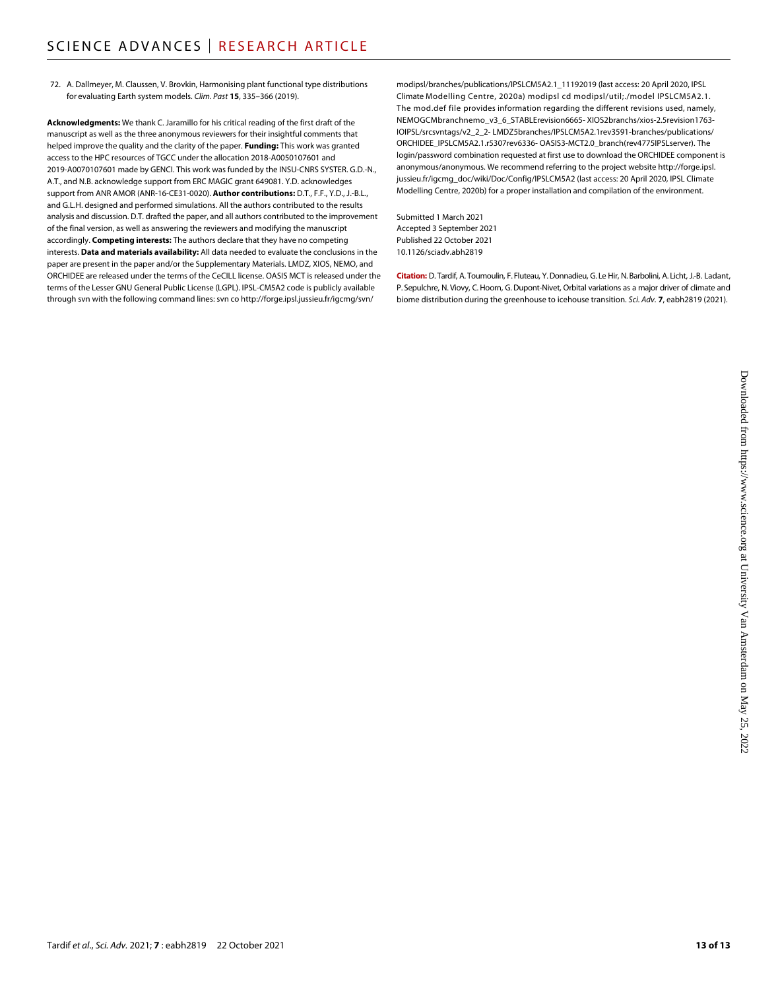72. A. Dallmeyer, M. Claussen, V. Brovkin, Harmonising plant functional type distributions for evaluating Earth system models. *Clim. Past* **15**, 335–366 (2019).

**Acknowledgments:** We thank C. Jaramillo for his critical reading of the first draft of the manuscript as well as the three anonymous reviewers for their insightful comments that helped improve the quality and the clarity of the paper. **Funding:** This work was granted access to the HPC resources of TGCC under the allocation 2018-A0050107601 and 2019-A0070107601 made by GENCI. This work was funded by the INSU-CNRS SYSTER. G.D.-N., A.T., and N.B. acknowledge support from ERC MAGIC grant 649081. Y.D. acknowledges support from ANR AMOR (ANR-16-CE31-0020). **Author contributions:** D.T., F.F., Y.D., J.-B.L., and G.L.H. designed and performed simulations. All the authors contributed to the results analysis and discussion. D.T. drafted the paper, and all authors contributed to the improvement of the final version, as well as answering the reviewers and modifying the manuscript accordingly. **Competing interests:** The authors declare that they have no competing interests. **Data and materials availability:** All data needed to evaluate the conclusions in the paper are present in the paper and/or the Supplementary Materials. LMDZ, XIOS, NEMO, and ORCHIDEE are released under the terms of the CeCILL license. OASIS MCT is released under the terms of the Lesser GNU General Public License (LGPL). IPSL-CM5A2 code is publicly available through svn with the following command lines: svn co [http://forge.ipsl.jussieu.fr/igcmg/svn/](http://forge.ipsl.jussieu.fr/igcmg/svn/modipsl/branches/publications/IPSLCM5A2.1_11192019)

[modipsl/branches/publications/IPSLCM5A2.1\\_11192019](http://forge.ipsl.jussieu.fr/igcmg/svn/modipsl/branches/publications/IPSLCM5A2.1_11192019) (last access: 20 April 2020, IPSL Climate Modelling Centre, 2020a) modipsl cd modipsl/util;./model IPSLCM5A2.1. The mod.def file provides information regarding the different revisions used, namely, NEMOGCMbranchnemo\_v3\_6\_STABLErevision6665- XIOS2branchs/xios-2.5revision1763- IOIPSL/srcsvntags/v2\_2\_2- LMDZ5branches/IPSLCM5A2.1rev3591-branches/publications/ ORCHIDEE\_IPSLCM5A2.1.r5307rev6336- OASIS3-MCT2.0\_branch(rev4775IPSLserver). The login/password combination requested at first use to download the ORCHIDEE component is anonymous/anonymous. We recommend referring to the project website [http://forge.ipsl.](http://forge.ipsl.jussieu.fr/igcmg_doc/wiki/Doc/Config/IPSLCM5A2) [jussieu.fr/igcmg\\_doc/wiki/Doc/Config/IPSLCM5A2](http://forge.ipsl.jussieu.fr/igcmg_doc/wiki/Doc/Config/IPSLCM5A2) (last access: 20 April 2020, IPSL Climate Modelling Centre, 2020b) for a proper installation and compilation of the environment.

Submitted 1 March 2021 Accepted 3 September 2021 Published 22 October 2021 10.1126/sciadv.abh2819

**Citation:** D. Tardif, A. Toumoulin, F. Fluteau, Y.Donnadieu, G. Le Hir, N. Barbolini, A. Licht, J.-B. Ladant, P. Sepulchre, N. Viovy, C. Hoorn, G. Dupont-Nivet, Orbital variations as a major driver of climate and biome distribution during the greenhouse to icehouse transition. *Sci. Adv.* **7**, eabh2819 (2021).